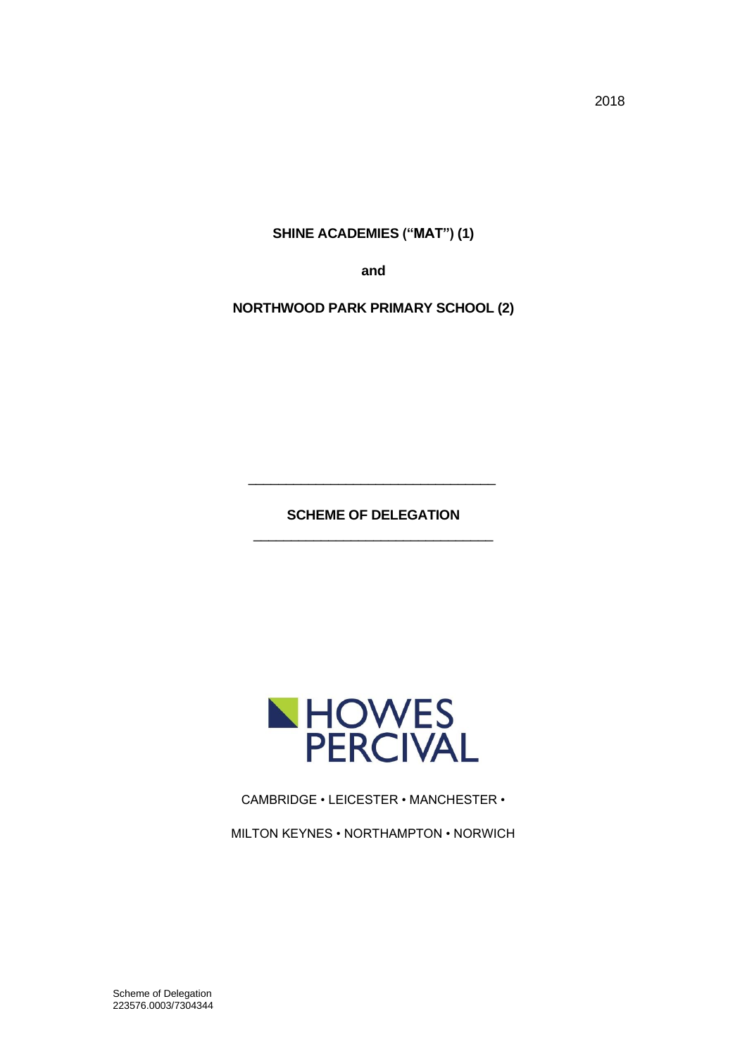2018

**SHINE ACADEMIES ("MAT") (1)**

**and**

**NORTHWOOD PARK PRIMARY SCHOOL (2)**

**SCHEME OF DELEGATION** \_\_\_\_\_\_\_\_\_\_\_\_\_\_\_\_\_\_\_\_\_\_\_\_\_\_\_\_\_\_\_\_

\_\_\_\_\_\_\_\_\_\_\_\_\_\_\_\_\_\_\_\_\_\_\_\_\_\_\_\_\_\_\_\_\_



CAMBRIDGE • LEICESTER • MANCHESTER •

MILTON KEYNES • NORTHAMPTON • NORWICH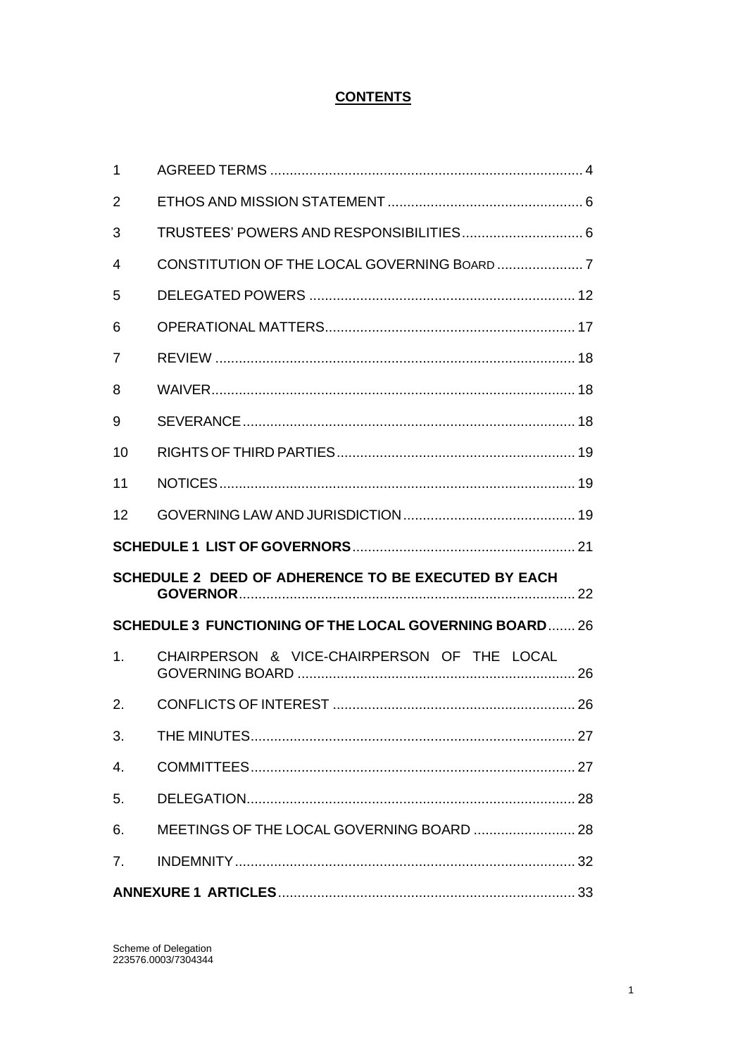# **CONTENTS**

| 2  |                                                              |  |
|----|--------------------------------------------------------------|--|
| 3  |                                                              |  |
| 4  |                                                              |  |
| 5  |                                                              |  |
| 6  |                                                              |  |
| 7  |                                                              |  |
| 8  |                                                              |  |
| 9  |                                                              |  |
| 10 |                                                              |  |
| 11 |                                                              |  |
| 12 |                                                              |  |
|    |                                                              |  |
|    |                                                              |  |
|    | SCHEDULE 2 DEED OF ADHERENCE TO BE EXECUTED BY EACH          |  |
|    | <b>SCHEDULE 3 FUNCTIONING OF THE LOCAL GOVERNING BOARD26</b> |  |
| 1. | CHAIRPERSON & VICE-CHAIRPERSON OF THE LOCAL                  |  |
| 2. |                                                              |  |
| 3. |                                                              |  |
| 4. |                                                              |  |
| 5. |                                                              |  |
| 6. |                                                              |  |
| 7. |                                                              |  |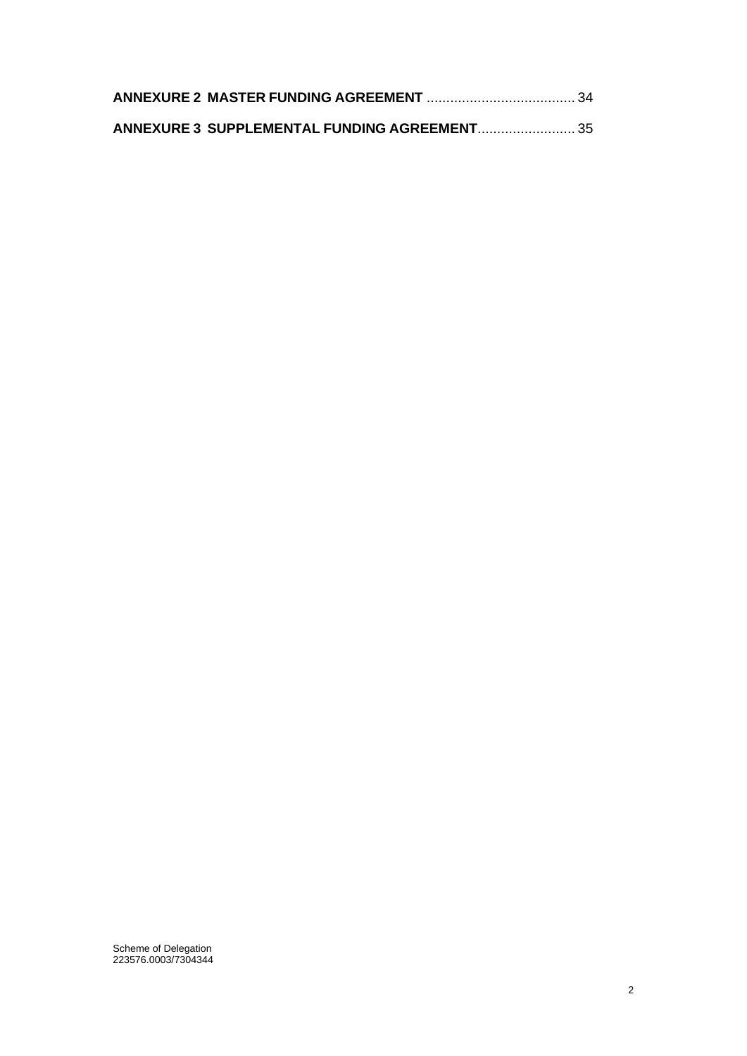| ANNEXURE 3 SUPPLEMENTAL FUNDING AGREEMENT 35 |  |
|----------------------------------------------|--|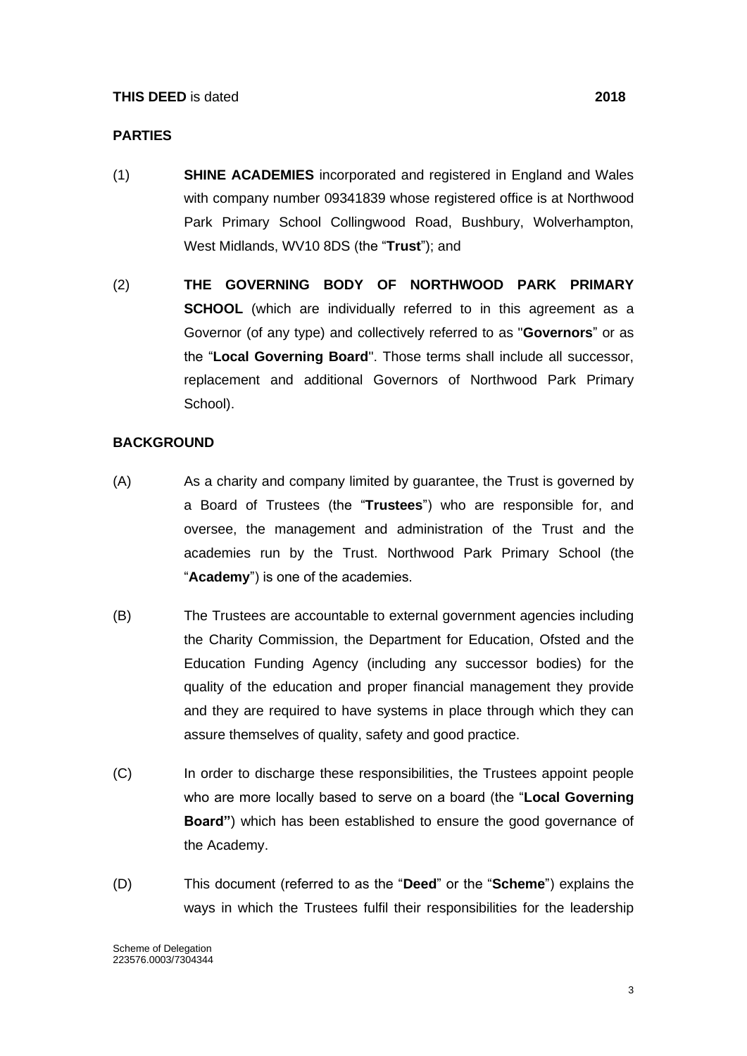#### **PARTIES**

- (1) **SHINE ACADEMIES** incorporated and registered in England and Wales with company number 09341839 whose registered office is at Northwood Park Primary School Collingwood Road, Bushbury, Wolverhampton, West Midlands, WV10 8DS (the "**Trust**"); and
- (2) **THE GOVERNING BODY OF NORTHWOOD PARK PRIMARY SCHOOL** (which are individually referred to in this agreement as a Governor (of any type) and collectively referred to as "**Governors**" or as the "**Local Governing Board**". Those terms shall include all successor, replacement and additional Governors of Northwood Park Primary School).

#### **BACKGROUND**

- (A) As a charity and company limited by guarantee, the Trust is governed by a Board of Trustees (the "**Trustees**") who are responsible for, and oversee, the management and administration of the Trust and the academies run by the Trust. Northwood Park Primary School (the "**Academy**") is one of the academies.
- (B) The Trustees are accountable to external government agencies including the Charity Commission, the Department for Education, Ofsted and the Education Funding Agency (including any successor bodies) for the quality of the education and proper financial management they provide and they are required to have systems in place through which they can assure themselves of quality, safety and good practice.
- (C) In order to discharge these responsibilities, the Trustees appoint people who are more locally based to serve on a board (the "**Local Governing Board"**) which has been established to ensure the good governance of the Academy.
- (D) This document (referred to as the "**Deed**" or the "**Scheme**") explains the ways in which the Trustees fulfil their responsibilities for the leadership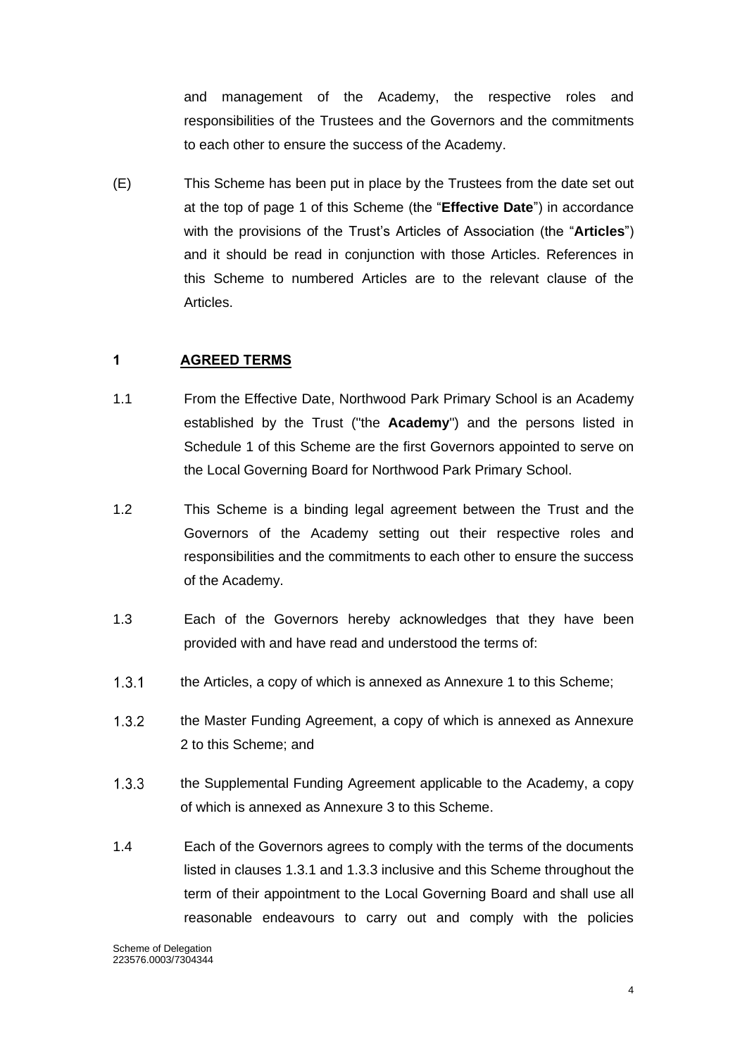and management of the Academy, the respective roles and responsibilities of the Trustees and the Governors and the commitments to each other to ensure the success of the Academy.

(E) This Scheme has been put in place by the Trustees from the date set out at the top of page 1 of this Scheme (the "**Effective Date**") in accordance with the provisions of the Trust's Articles of Association (the "**Articles**") and it should be read in conjunction with those Articles. References in this Scheme to numbered Articles are to the relevant clause of the Articles.

#### <span id="page-4-0"></span>**1 AGREED TERMS**

- 1.1 From the Effective Date, Northwood Park Primary School is an Academy established by the Trust ("the **Academy**") and the persons listed in Schedule 1 of this Scheme are the first Governors appointed to serve on the Local Governing Board for Northwood Park Primary School.
- 1.2 This Scheme is a binding legal agreement between the Trust and the Governors of the Academy setting out their respective roles and responsibilities and the commitments to each other to ensure the success of the Academy.
- 1.3 Each of the Governors hereby acknowledges that they have been provided with and have read and understood the terms of:
- $1.3.1$ the Articles, a copy of which is annexed as Annexure 1 to this Scheme;
- $1.3.2$ the Master Funding Agreement, a copy of which is annexed as Annexure 2 to this Scheme; and
- $1.3.3$ the Supplemental Funding Agreement applicable to the Academy, a copy of which is annexed as Annexure 3 to this Scheme.
- 1.4 Each of the Governors agrees to comply with the terms of the documents listed in clauses 1.3.1 and 1.3.3 inclusive and this Scheme throughout the term of their appointment to the Local Governing Board and shall use all reasonable endeavours to carry out and comply with the policies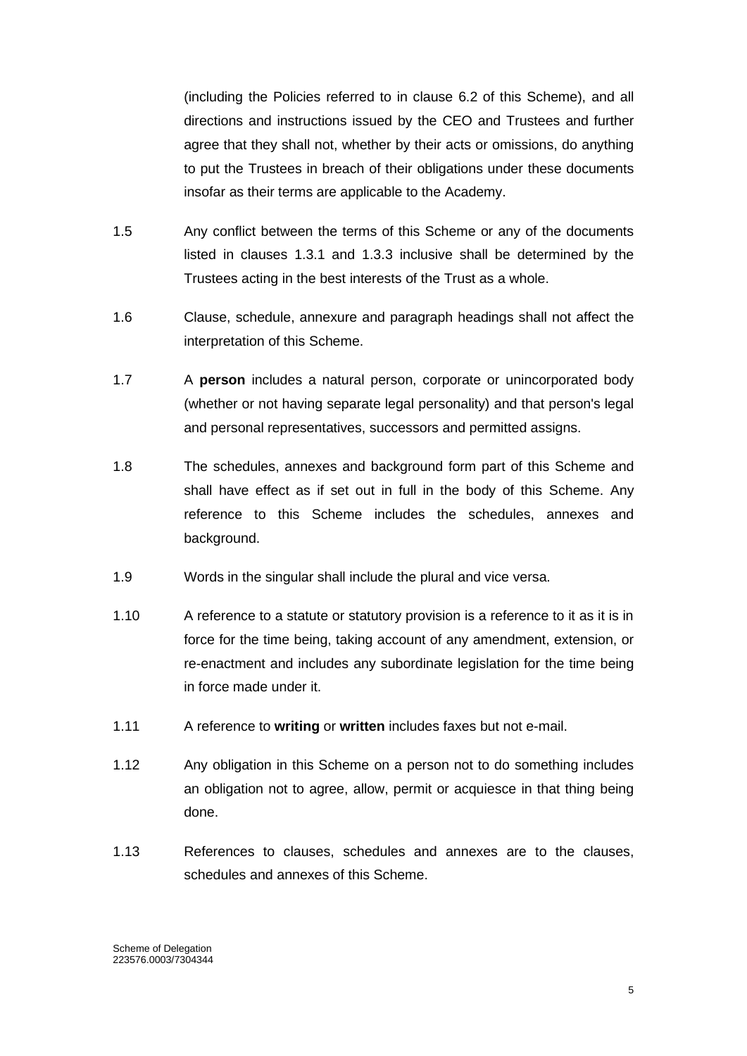(including the Policies referred to in clause 6.2 of this Scheme), and all directions and instructions issued by the CEO and Trustees and further agree that they shall not, whether by their acts or omissions, do anything to put the Trustees in breach of their obligations under these documents insofar as their terms are applicable to the Academy.

- 1.5 Any conflict between the terms of this Scheme or any of the documents listed in clauses 1.3.1 and 1.3.3 inclusive shall be determined by the Trustees acting in the best interests of the Trust as a whole.
- 1.6 Clause, schedule, annexure and paragraph headings shall not affect the interpretation of this Scheme.
- 1.7 A **person** includes a natural person, corporate or unincorporated body (whether or not having separate legal personality) and that person's legal and personal representatives, successors and permitted assigns.
- 1.8 The schedules, annexes and background form part of this Scheme and shall have effect as if set out in full in the body of this Scheme. Any reference to this Scheme includes the schedules, annexes and background.
- 1.9 Words in the singular shall include the plural and vice versa.
- 1.10 A reference to a statute or statutory provision is a reference to it as it is in force for the time being, taking account of any amendment, extension, or re-enactment and includes any subordinate legislation for the time being in force made under it.
- 1.11 A reference to **writing** or **written** includes faxes but not e-mail.
- 1.12 Any obligation in this Scheme on a person not to do something includes an obligation not to agree, allow, permit or acquiesce in that thing being done.
- 1.13 References to clauses, schedules and annexes are to the clauses, schedules and annexes of this Scheme.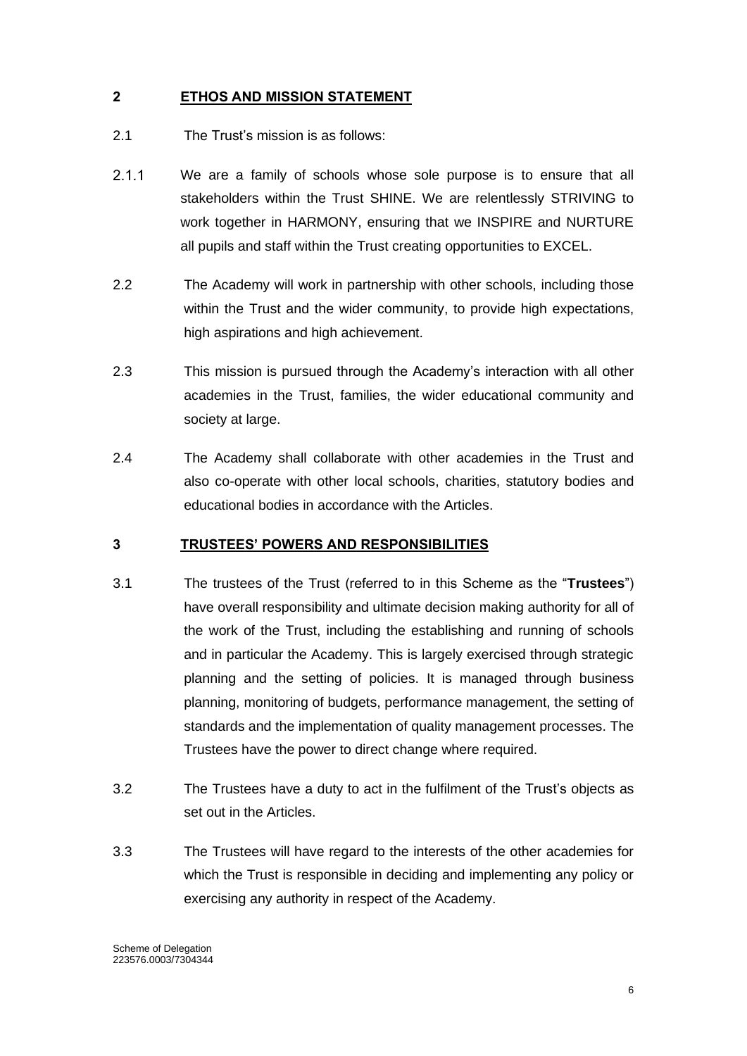# <span id="page-6-0"></span>**2 ETHOS AND MISSION STATEMENT**

- 2.1 The Trust's mission is as follows:
- $2.1.1$ We are a family of schools whose sole purpose is to ensure that all stakeholders within the Trust SHINE. We are relentlessly STRIVING to work together in HARMONY, ensuring that we INSPIRE and NURTURE all pupils and staff within the Trust creating opportunities to EXCEL.
- 2.2 The Academy will work in partnership with other schools, including those within the Trust and the wider community, to provide high expectations, high aspirations and high achievement.
- 2.3 This mission is pursued through the Academy's interaction with all other academies in the Trust, families, the wider educational community and society at large.
- 2.4 The Academy shall collaborate with other academies in the Trust and also co-operate with other local schools, charities, statutory bodies and educational bodies in accordance with the Articles.

#### <span id="page-6-1"></span>**3 TRUSTEES' POWERS AND RESPONSIBILITIES**

- 3.1 The trustees of the Trust (referred to in this Scheme as the "**Trustees**") have overall responsibility and ultimate decision making authority for all of the work of the Trust, including the establishing and running of schools and in particular the Academy. This is largely exercised through strategic planning and the setting of policies. It is managed through business planning, monitoring of budgets, performance management, the setting of standards and the implementation of quality management processes. The Trustees have the power to direct change where required.
- 3.2 The Trustees have a duty to act in the fulfilment of the Trust's objects as set out in the Articles.
- 3.3 The Trustees will have regard to the interests of the other academies for which the Trust is responsible in deciding and implementing any policy or exercising any authority in respect of the Academy.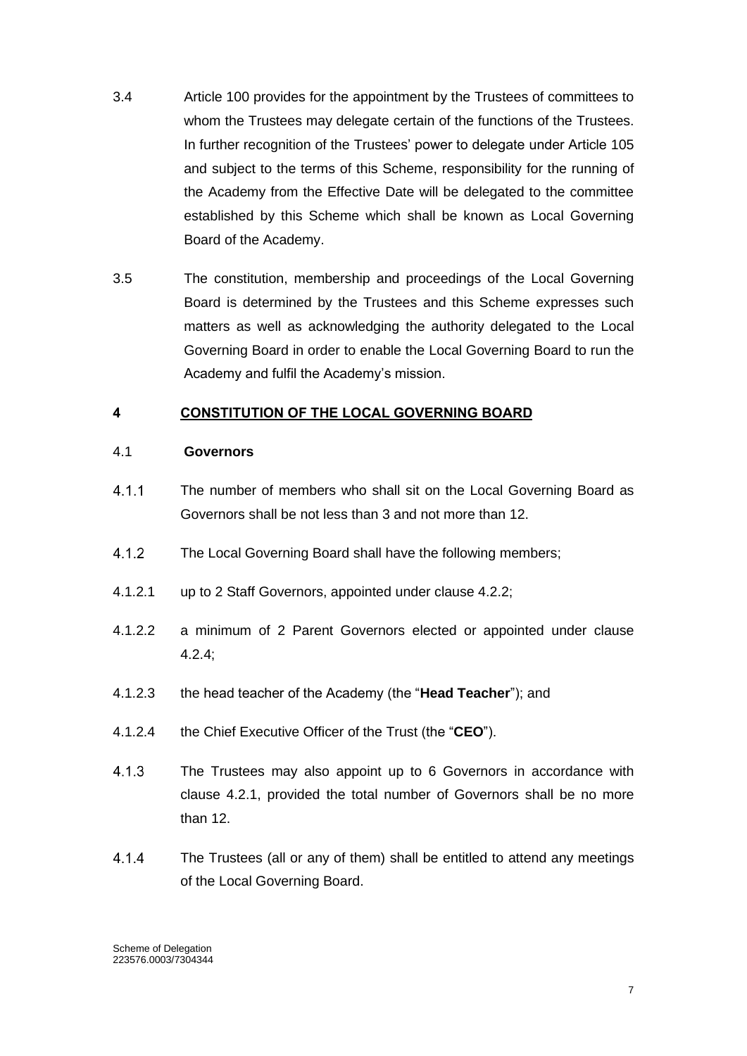- 3.4 Article 100 provides for the appointment by the Trustees of committees to whom the Trustees may delegate certain of the functions of the Trustees. In further recognition of the Trustees' power to delegate under Article 105 and subject to the terms of this Scheme, responsibility for the running of the Academy from the Effective Date will be delegated to the committee established by this Scheme which shall be known as Local Governing Board of the Academy.
- 3.5 The constitution, membership and proceedings of the Local Governing Board is determined by the Trustees and this Scheme expresses such matters as well as acknowledging the authority delegated to the Local Governing Board in order to enable the Local Governing Board to run the Academy and fulfil the Academy's mission.

# <span id="page-7-0"></span>**4 CONSTITUTION OF THE LOCAL GOVERNING BOARD**

#### 4.1 **Governors**

- $411$ The number of members who shall sit on the Local Governing Board as Governors shall be not less than 3 and not more than 12.
- $4.1.2$ The Local Governing Board shall have the following members;
- 4.1.2.1 up to 2 Staff Governors, appointed under clause 4.2.2;
- 4.1.2.2 a minimum of 2 Parent Governors elected or appointed under clause 4.2.4;
- 4.1.2.3 the head teacher of the Academy (the "**Head Teacher**"); and
- 4.1.2.4 the Chief Executive Officer of the Trust (the "**CEO**").
- $4.1.3$ The Trustees may also appoint up to 6 Governors in accordance with clause 4.2.1, provided the total number of Governors shall be no more than 12.
- $4.1.4$ The Trustees (all or any of them) shall be entitled to attend any meetings of the Local Governing Board.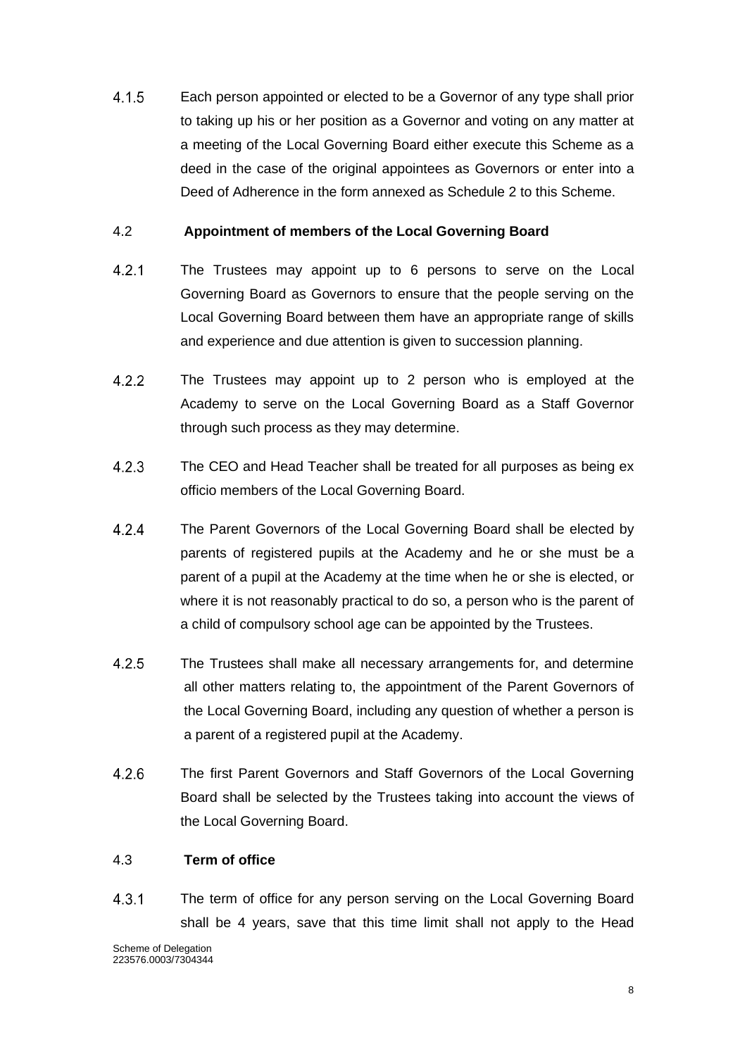$4.1.5$ Each person appointed or elected to be a Governor of any type shall prior to taking up his or her position as a Governor and voting on any matter at a meeting of the Local Governing Board either execute this Scheme as a deed in the case of the original appointees as Governors or enter into a Deed of Adherence in the form annexed as Schedule 2 to this Scheme.

### 4.2 **Appointment of members of the Local Governing Board**

- $4.2.1$ The Trustees may appoint up to 6 persons to serve on the Local Governing Board as Governors to ensure that the people serving on the Local Governing Board between them have an appropriate range of skills and experience and due attention is given to succession planning.
- $4.2.2$ The Trustees may appoint up to 2 person who is employed at the Academy to serve on the Local Governing Board as a Staff Governor through such process as they may determine.
- $4.2.3$ The CEO and Head Teacher shall be treated for all purposes as being ex officio members of the Local Governing Board.
- $4.2.4$ The Parent Governors of the Local Governing Board shall be elected by parents of registered pupils at the Academy and he or she must be a parent of a pupil at the Academy at the time when he or she is elected, or where it is not reasonably practical to do so, a person who is the parent of a child of compulsory school age can be appointed by the Trustees.
- $4.2.5$ The Trustees shall make all necessary arrangements for, and determine all other matters relating to, the appointment of the Parent Governors of the Local Governing Board, including any question of whether a person is a parent of a registered pupil at the Academy.
- $4.2.6$ The first Parent Governors and Staff Governors of the Local Governing Board shall be selected by the Trustees taking into account the views of the Local Governing Board.

#### 4.3 **Term of office**

 $4.3.1$ The term of office for any person serving on the Local Governing Board shall be 4 years, save that this time limit shall not apply to the Head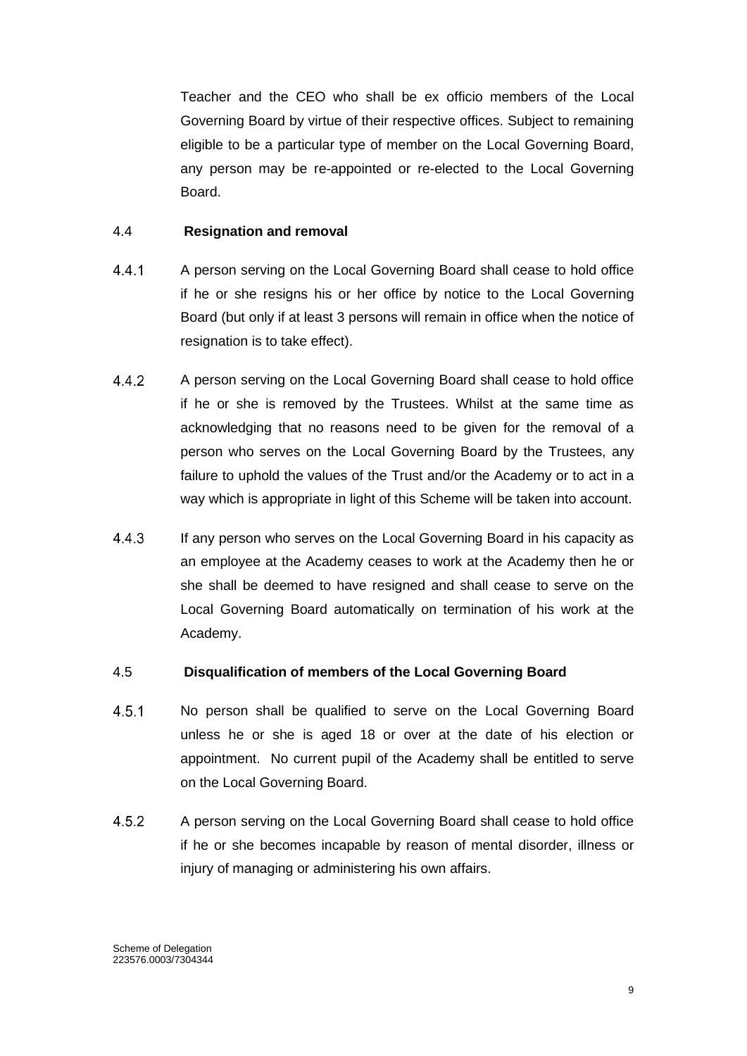Teacher and the CEO who shall be ex officio members of the Local Governing Board by virtue of their respective offices. Subject to remaining eligible to be a particular type of member on the Local Governing Board, any person may be re-appointed or re-elected to the Local Governing Board.

#### 4.4 **Resignation and removal**

- $4.4.1$ A person serving on the Local Governing Board shall cease to hold office if he or she resigns his or her office by notice to the Local Governing Board (but only if at least 3 persons will remain in office when the notice of resignation is to take effect).
- $4.4.2$ A person serving on the Local Governing Board shall cease to hold office if he or she is removed by the Trustees. Whilst at the same time as acknowledging that no reasons need to be given for the removal of a person who serves on the Local Governing Board by the Trustees, any failure to uphold the values of the Trust and/or the Academy or to act in a way which is appropriate in light of this Scheme will be taken into account.
- $4.4.3$ If any person who serves on the Local Governing Board in his capacity as an employee at the Academy ceases to work at the Academy then he or she shall be deemed to have resigned and shall cease to serve on the Local Governing Board automatically on termination of his work at the Academy.

#### 4.5 **Disqualification of members of the Local Governing Board**

- $4.5.1$ No person shall be qualified to serve on the Local Governing Board unless he or she is aged 18 or over at the date of his election or appointment. No current pupil of the Academy shall be entitled to serve on the Local Governing Board.
- 452 A person serving on the Local Governing Board shall cease to hold office if he or she becomes incapable by reason of mental disorder, illness or injury of managing or administering his own affairs.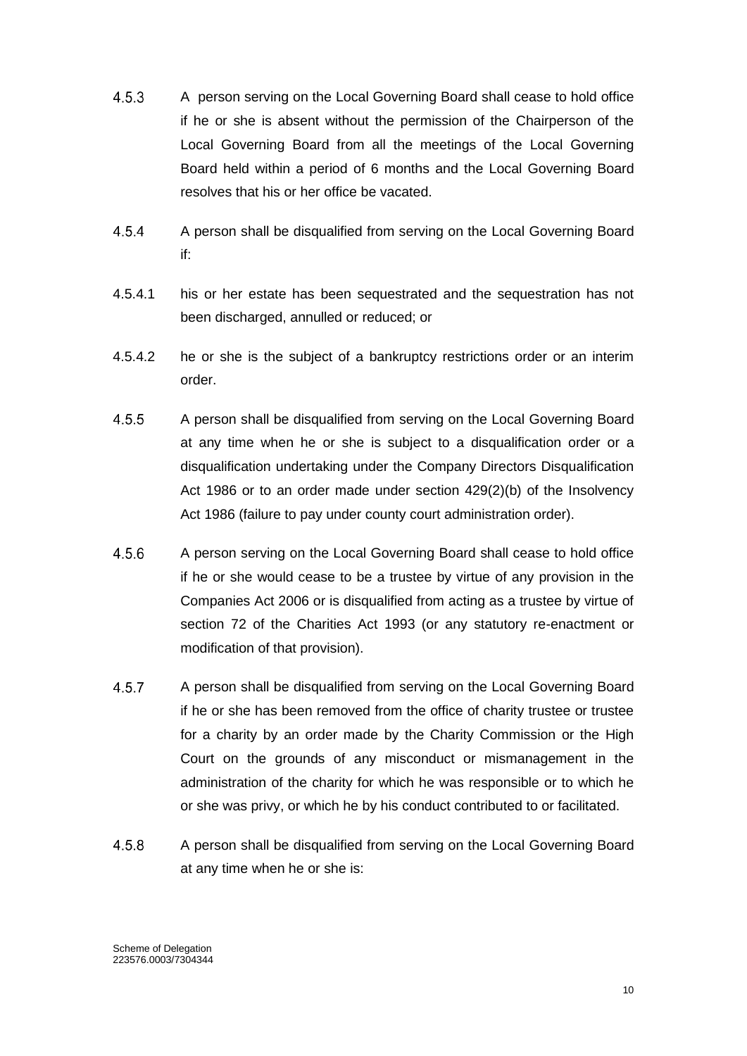- $4.5.3$ A person serving on the Local Governing Board shall cease to hold office if he or she is absent without the permission of the Chairperson of the Local Governing Board from all the meetings of the Local Governing Board held within a period of 6 months and the Local Governing Board resolves that his or her office be vacated.
- $4.5.4$ A person shall be disqualified from serving on the Local Governing Board if:
- 4.5.4.1 his or her estate has been sequestrated and the sequestration has not been discharged, annulled or reduced; or
- 4.5.4.2 he or she is the subject of a bankruptcy restrictions order or an interim order.
- $4.5.5$ A person shall be disqualified from serving on the Local Governing Board at any time when he or she is subject to a disqualification order or a disqualification undertaking under the Company Directors Disqualification Act 1986 or to an order made under section 429(2)(b) of the Insolvency Act 1986 (failure to pay under county court administration order).
- $4.5.6$ A person serving on the Local Governing Board shall cease to hold office if he or she would cease to be a trustee by virtue of any provision in the Companies Act 2006 or is disqualified from acting as a trustee by virtue of section 72 of the Charities Act 1993 (or any statutory re-enactment or modification of that provision).
- $4.5.7$ A person shall be disqualified from serving on the Local Governing Board if he or she has been removed from the office of charity trustee or trustee for a charity by an order made by the Charity Commission or the High Court on the grounds of any misconduct or mismanagement in the administration of the charity for which he was responsible or to which he or she was privy, or which he by his conduct contributed to or facilitated.
- 4.5.8 A person shall be disqualified from serving on the Local Governing Board at any time when he or she is: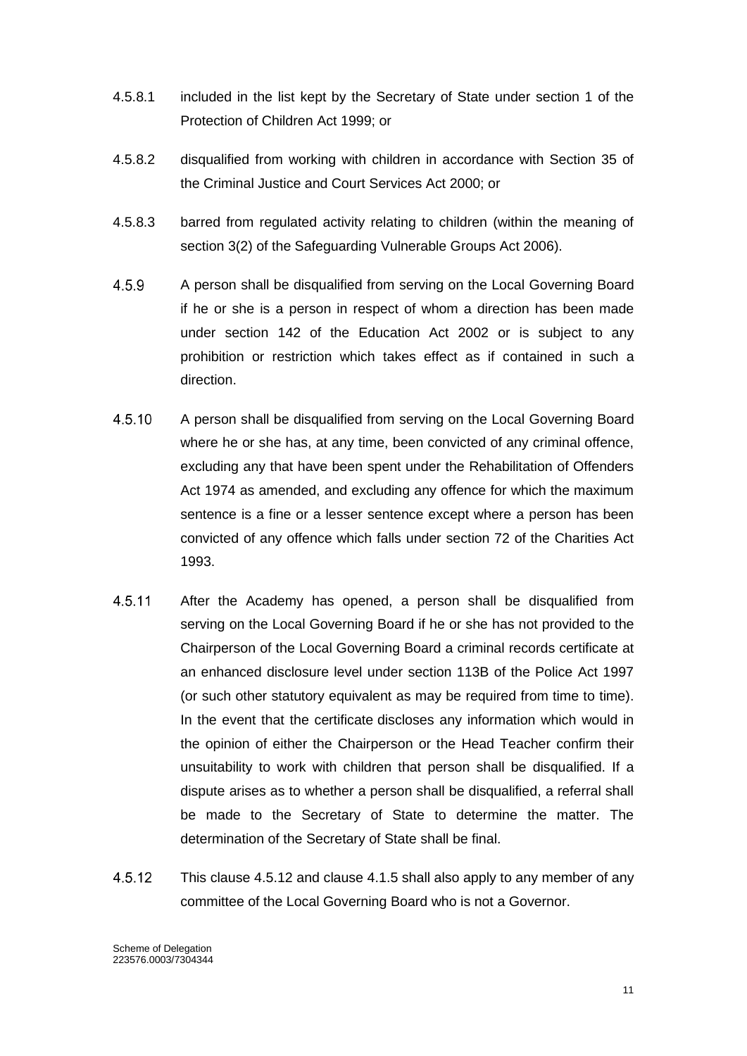- 4.5.8.1 included in the list kept by the Secretary of State under section 1 of the Protection of Children Act 1999; or
- 4.5.8.2 disqualified from working with children in accordance with Section 35 of the Criminal Justice and Court Services Act 2000; or
- 4.5.8.3 barred from regulated activity relating to children (within the meaning of section 3(2) of the Safeguarding Vulnerable Groups Act 2006).
- 4.5.9 A person shall be disqualified from serving on the Local Governing Board if he or she is a person in respect of whom a direction has been made under section 142 of the Education Act 2002 or is subject to any prohibition or restriction which takes effect as if contained in such a direction.
- 4.5.10 A person shall be disqualified from serving on the Local Governing Board where he or she has, at any time, been convicted of any criminal offence, excluding any that have been spent under the Rehabilitation of Offenders Act 1974 as amended, and excluding any offence for which the maximum sentence is a fine or a lesser sentence except where a person has been convicted of any offence which falls under section 72 of the Charities Act 1993.
- 4.5.11 After the Academy has opened, a person shall be disqualified from serving on the Local Governing Board if he or she has not provided to the Chairperson of the Local Governing Board a criminal records certificate at an enhanced disclosure level under section 113B of the Police Act 1997 (or such other statutory equivalent as may be required from time to time). In the event that the certificate discloses any information which would in the opinion of either the Chairperson or the Head Teacher confirm their unsuitability to work with children that person shall be disqualified. If a dispute arises as to whether a person shall be disqualified, a referral shall be made to the Secretary of State to determine the matter. The determination of the Secretary of State shall be final.
- 4.5.12 This clause 4.5.12 and clause 4.1.5 shall also apply to any member of any committee of the Local Governing Board who is not a Governor.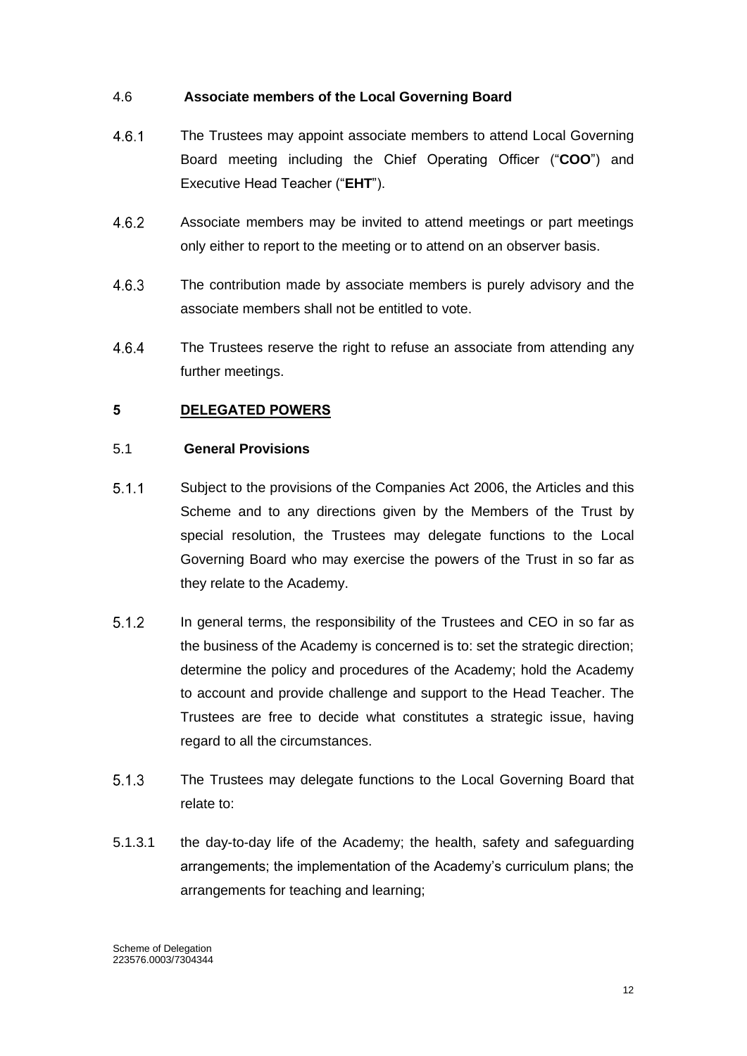### 4.6 **Associate members of the Local Governing Board**

- $4.6.1$ The Trustees may appoint associate members to attend Local Governing Board meeting including the Chief Operating Officer ("**COO**") and Executive Head Teacher ("**EHT**").
- Associate members may be invited to attend meetings or part meetings 4.6.2 only either to report to the meeting or to attend on an observer basis.
- 4.6.3 The contribution made by associate members is purely advisory and the associate members shall not be entitled to vote.
- 4.6.4 The Trustees reserve the right to refuse an associate from attending any further meetings.

# <span id="page-12-0"></span>**5 DELEGATED POWERS**

### 5.1 **General Provisions**

- $5.1.1$ Subject to the provisions of the Companies Act 2006, the Articles and this Scheme and to any directions given by the Members of the Trust by special resolution, the Trustees may delegate functions to the Local Governing Board who may exercise the powers of the Trust in so far as they relate to the Academy.
- $5.1.2$ In general terms, the responsibility of the Trustees and CEO in so far as the business of the Academy is concerned is to: set the strategic direction; determine the policy and procedures of the Academy; hold the Academy to account and provide challenge and support to the Head Teacher. The Trustees are free to decide what constitutes a strategic issue, having regard to all the circumstances.
- $5.1.3$ The Trustees may delegate functions to the Local Governing Board that relate to:
- 5.1.3.1 the day-to-day life of the Academy; the health, safety and safeguarding arrangements; the implementation of the Academy's curriculum plans; the arrangements for teaching and learning;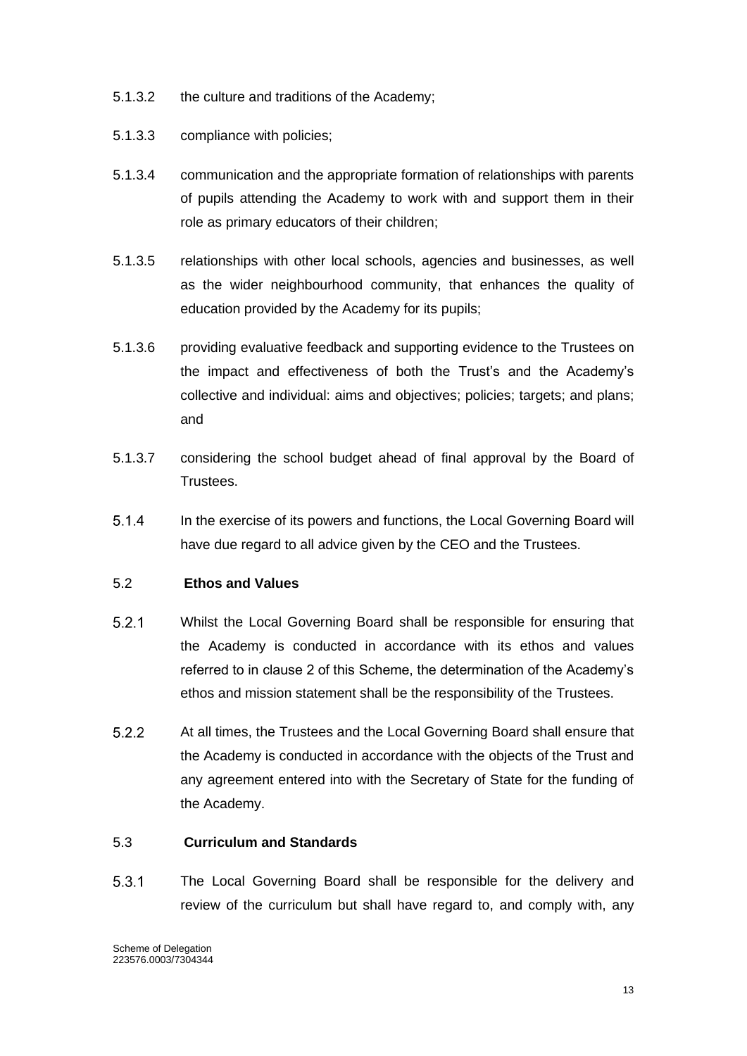- 5.1.3.2 the culture and traditions of the Academy;
- 5.1.3.3 compliance with policies;
- 5.1.3.4 communication and the appropriate formation of relationships with parents of pupils attending the Academy to work with and support them in their role as primary educators of their children;
- 5.1.3.5 relationships with other local schools, agencies and businesses, as well as the wider neighbourhood community, that enhances the quality of education provided by the Academy for its pupils;
- 5.1.3.6 providing evaluative feedback and supporting evidence to the Trustees on the impact and effectiveness of both the Trust's and the Academy's collective and individual: aims and objectives; policies; targets; and plans; and
- 5.1.3.7 considering the school budget ahead of final approval by the Board of Trustees.
- $5.1.4$ In the exercise of its powers and functions, the Local Governing Board will have due regard to all advice given by the CEO and the Trustees.

# 5.2 **Ethos and Values**

- $5.2.1$ Whilst the Local Governing Board shall be responsible for ensuring that the Academy is conducted in accordance with its ethos and values referred to in clause 2 of this Scheme, the determination of the Academy's ethos and mission statement shall be the responsibility of the Trustees.
- $5.2.2$ At all times, the Trustees and the Local Governing Board shall ensure that the Academy is conducted in accordance with the objects of the Trust and any agreement entered into with the Secretary of State for the funding of the Academy.

#### 5.3 **Curriculum and Standards**

 $5.3.1$ The Local Governing Board shall be responsible for the delivery and review of the curriculum but shall have regard to, and comply with, any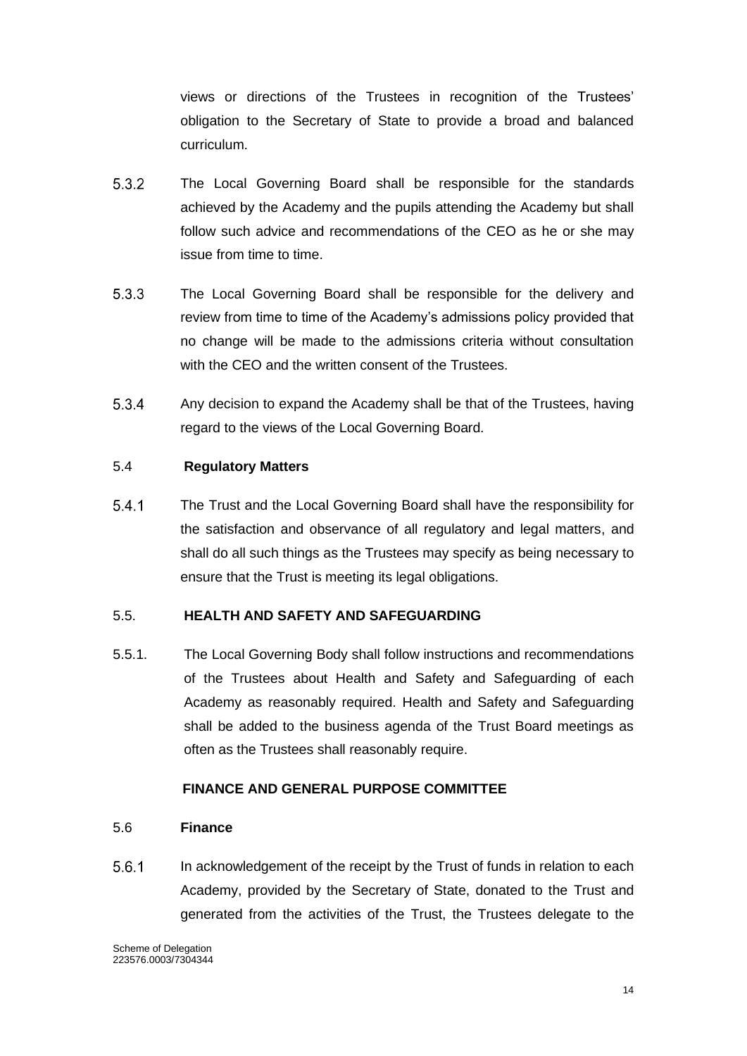views or directions of the Trustees in recognition of the Trustees' obligation to the Secretary of State to provide a broad and balanced curriculum.

- $5.3.2$ The Local Governing Board shall be responsible for the standards achieved by the Academy and the pupils attending the Academy but shall follow such advice and recommendations of the CEO as he or she may issue from time to time.
- $5.3.3$ The Local Governing Board shall be responsible for the delivery and review from time to time of the Academy's admissions policy provided that no change will be made to the admissions criteria without consultation with the CEO and the written consent of the Trustees.
- 5.3.4 Any decision to expand the Academy shall be that of the Trustees, having regard to the views of the Local Governing Board.

### 5.4 **Regulatory Matters**

 $5.4.1$ The Trust and the Local Governing Board shall have the responsibility for the satisfaction and observance of all regulatory and legal matters, and shall do all such things as the Trustees may specify as being necessary to ensure that the Trust is meeting its legal obligations.

#### 5.5. **HEALTH AND SAFETY AND SAFEGUARDING**

5.5.1. The Local Governing Body shall follow instructions and recommendations of the Trustees about Health and Safety and Safeguarding of each Academy as reasonably required. Health and Safety and Safeguarding shall be added to the business agenda of the Trust Board meetings as often as the Trustees shall reasonably require.

#### **FINANCE AND GENERAL PURPOSE COMMITTEE**

#### 5.6 **Finance**

 $5.6.1$ In acknowledgement of the receipt by the Trust of funds in relation to each Academy, provided by the Secretary of State, donated to the Trust and generated from the activities of the Trust, the Trustees delegate to the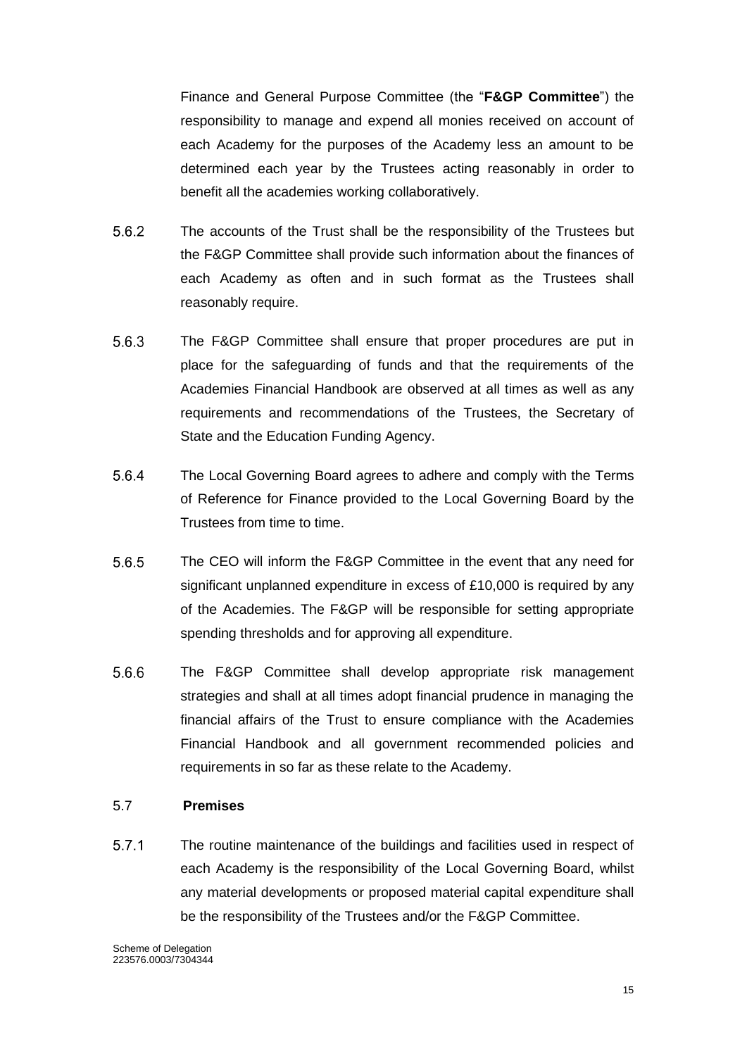Finance and General Purpose Committee (the "**F&GP Committee**") the responsibility to manage and expend all monies received on account of each Academy for the purposes of the Academy less an amount to be determined each year by the Trustees acting reasonably in order to benefit all the academies working collaboratively.

- $5.6.2$ The accounts of the Trust shall be the responsibility of the Trustees but the F&GP Committee shall provide such information about the finances of each Academy as often and in such format as the Trustees shall reasonably require.
- $5.6.3$ The F&GP Committee shall ensure that proper procedures are put in place for the safeguarding of funds and that the requirements of the Academies Financial Handbook are observed at all times as well as any requirements and recommendations of the Trustees, the Secretary of State and the Education Funding Agency.
- 5.6.4 The Local Governing Board agrees to adhere and comply with the Terms of Reference for Finance provided to the Local Governing Board by the Trustees from time to time.
- 5.6.5 The CEO will inform the F&GP Committee in the event that any need for significant unplanned expenditure in excess of £10,000 is required by any of the Academies. The F&GP will be responsible for setting appropriate spending thresholds and for approving all expenditure.
- 5.6.6 The F&GP Committee shall develop appropriate risk management strategies and shall at all times adopt financial prudence in managing the financial affairs of the Trust to ensure compliance with the Academies Financial Handbook and all government recommended policies and requirements in so far as these relate to the Academy.

#### 5.7 **Premises**

 $5.7.1$ The routine maintenance of the buildings and facilities used in respect of each Academy is the responsibility of the Local Governing Board, whilst any material developments or proposed material capital expenditure shall be the responsibility of the Trustees and/or the F&GP Committee.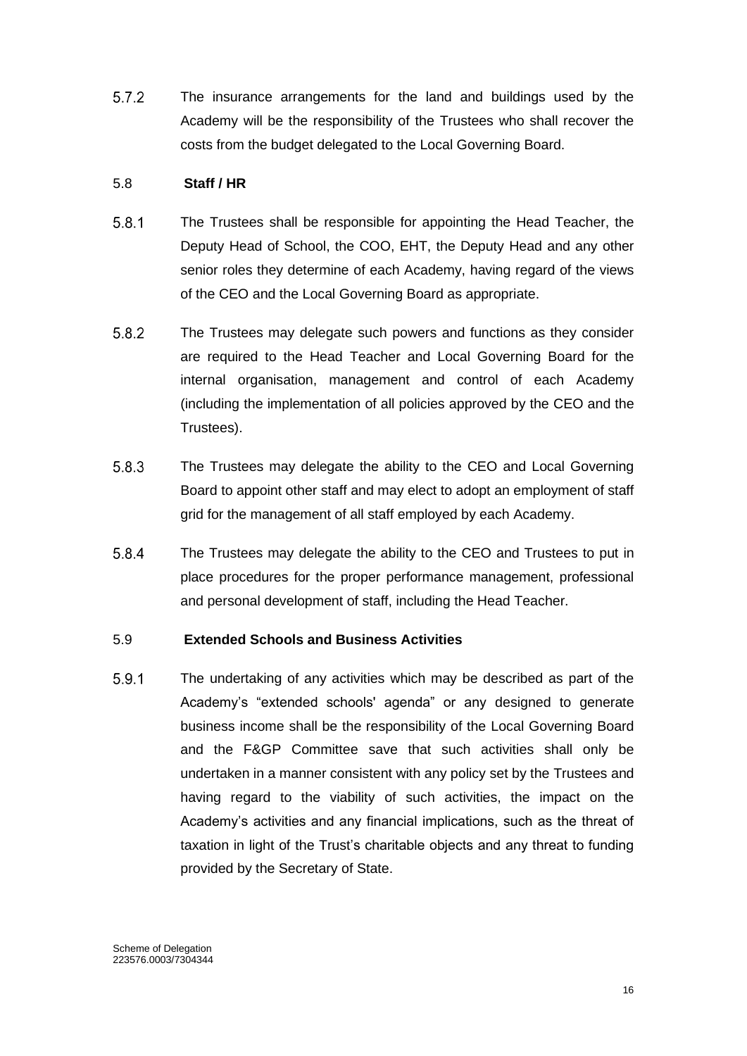$5.7.2$ The insurance arrangements for the land and buildings used by the Academy will be the responsibility of the Trustees who shall recover the costs from the budget delegated to the Local Governing Board.

### 5.8 **Staff / HR**

- $5.8.1$ The Trustees shall be responsible for appointing the Head Teacher, the Deputy Head of School, the COO, EHT, the Deputy Head and any other senior roles they determine of each Academy, having regard of the views of the CEO and the Local Governing Board as appropriate.
- $5.8.2$ The Trustees may delegate such powers and functions as they consider are required to the Head Teacher and Local Governing Board for the internal organisation, management and control of each Academy (including the implementation of all policies approved by the CEO and the Trustees).
- 5.8.3 The Trustees may delegate the ability to the CEO and Local Governing Board to appoint other staff and may elect to adopt an employment of staff grid for the management of all staff employed by each Academy.
- $5.8.4$ The Trustees may delegate the ability to the CEO and Trustees to put in place procedures for the proper performance management, professional and personal development of staff, including the Head Teacher.

# 5.9 **Extended Schools and Business Activities**

5.9.1 The undertaking of any activities which may be described as part of the Academy's "extended schools' agenda" or any designed to generate business income shall be the responsibility of the Local Governing Board and the F&GP Committee save that such activities shall only be undertaken in a manner consistent with any policy set by the Trustees and having regard to the viability of such activities, the impact on the Academy's activities and any financial implications, such as the threat of taxation in light of the Trust's charitable objects and any threat to funding provided by the Secretary of State.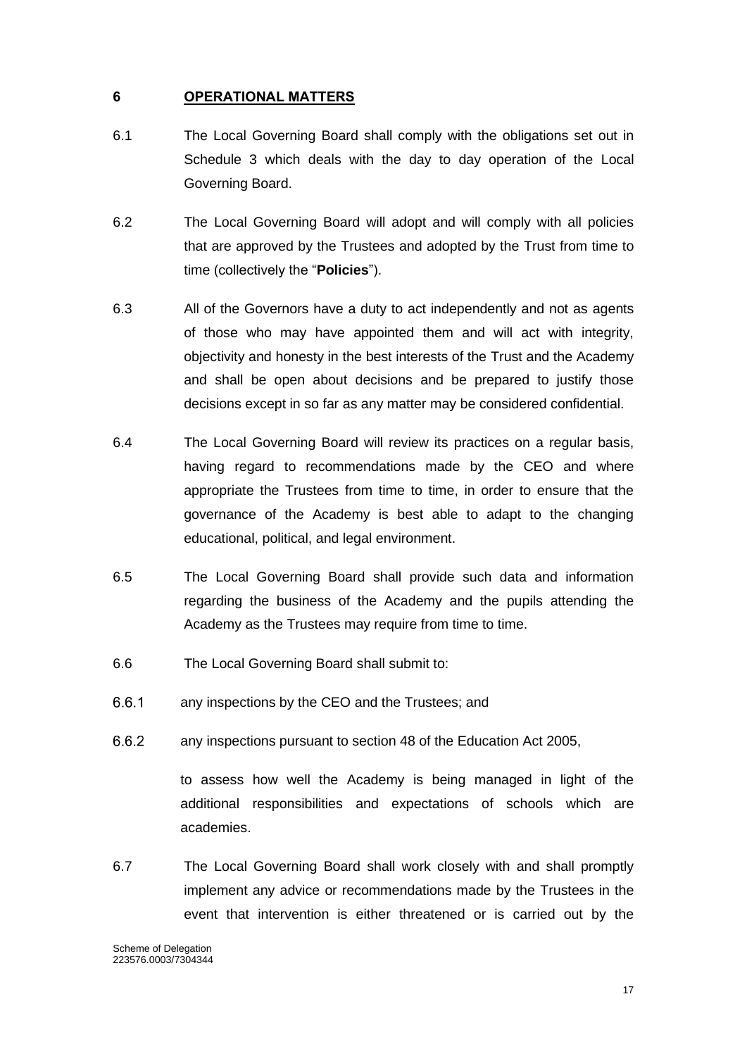### <span id="page-17-0"></span>**6 OPERATIONAL MATTERS**

- 6.1 The Local Governing Board shall comply with the obligations set out in Schedule 3 which deals with the day to day operation of the Local Governing Board.
- 6.2 The Local Governing Board will adopt and will comply with all policies that are approved by the Trustees and adopted by the Trust from time to time (collectively the "**Policies**").
- 6.3 All of the Governors have a duty to act independently and not as agents of those who may have appointed them and will act with integrity, objectivity and honesty in the best interests of the Trust and the Academy and shall be open about decisions and be prepared to justify those decisions except in so far as any matter may be considered confidential.
- 6.4 The Local Governing Board will review its practices on a regular basis, having regard to recommendations made by the CEO and where appropriate the Trustees from time to time, in order to ensure that the governance of the Academy is best able to adapt to the changing educational, political, and legal environment.
- 6.5 The Local Governing Board shall provide such data and information regarding the business of the Academy and the pupils attending the Academy as the Trustees may require from time to time.
- 6.6 The Local Governing Board shall submit to:
- $6.6.1$ any inspections by the CEO and the Trustees; and
- $6.6.2$ any inspections pursuant to section 48 of the Education Act 2005,

to assess how well the Academy is being managed in light of the additional responsibilities and expectations of schools which are academies.

6.7 The Local Governing Board shall work closely with and shall promptly implement any advice or recommendations made by the Trustees in the event that intervention is either threatened or is carried out by the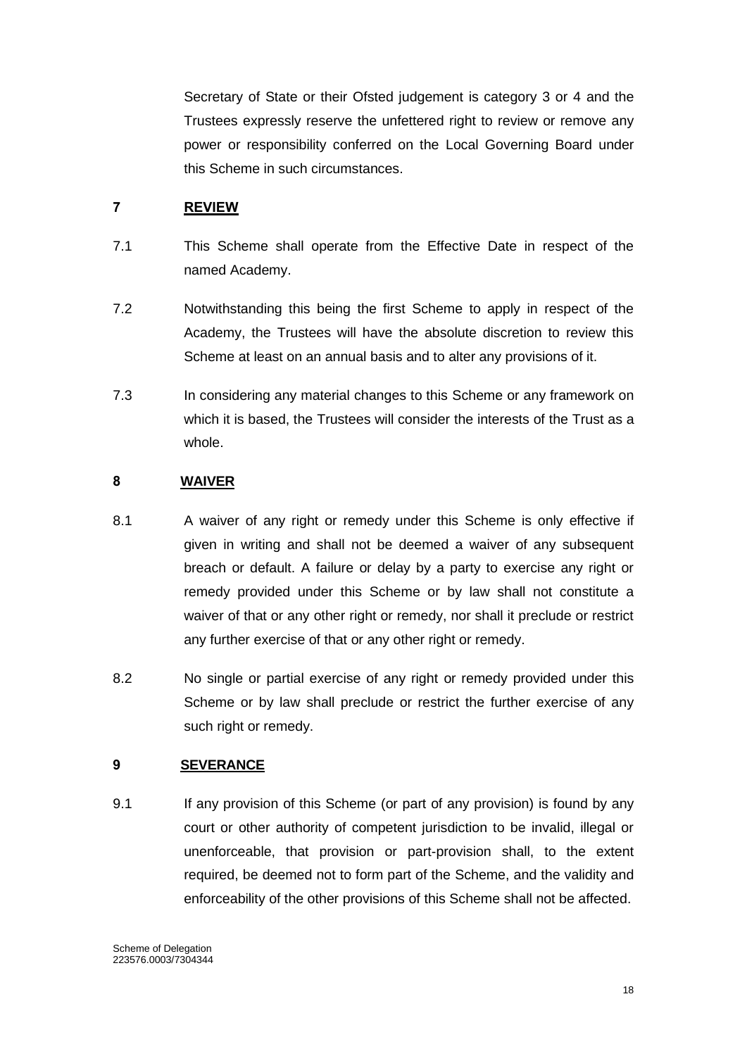Secretary of State or their Ofsted judgement is category 3 or 4 and the Trustees expressly reserve the unfettered right to review or remove any power or responsibility conferred on the Local Governing Board under this Scheme in such circumstances.

# <span id="page-18-0"></span>**7 REVIEW**

- 7.1 This Scheme shall operate from the Effective Date in respect of the named Academy.
- 7.2 Notwithstanding this being the first Scheme to apply in respect of the Academy, the Trustees will have the absolute discretion to review this Scheme at least on an annual basis and to alter any provisions of it.
- 7.3 In considering any material changes to this Scheme or any framework on which it is based, the Trustees will consider the interests of the Trust as a whole.

# <span id="page-18-1"></span>**8 WAIVER**

- 8.1 A waiver of any right or remedy under this Scheme is only effective if given in writing and shall not be deemed a waiver of any subsequent breach or default. A failure or delay by a party to exercise any right or remedy provided under this Scheme or by law shall not constitute a waiver of that or any other right or remedy, nor shall it preclude or restrict any further exercise of that or any other right or remedy.
- 8.2 No single or partial exercise of any right or remedy provided under this Scheme or by law shall preclude or restrict the further exercise of any such right or remedy.

# <span id="page-18-2"></span>**9 SEVERANCE**

9.1 If any provision of this Scheme (or part of any provision) is found by any court or other authority of competent jurisdiction to be invalid, illegal or unenforceable, that provision or part-provision shall, to the extent required, be deemed not to form part of the Scheme, and the validity and enforceability of the other provisions of this Scheme shall not be affected.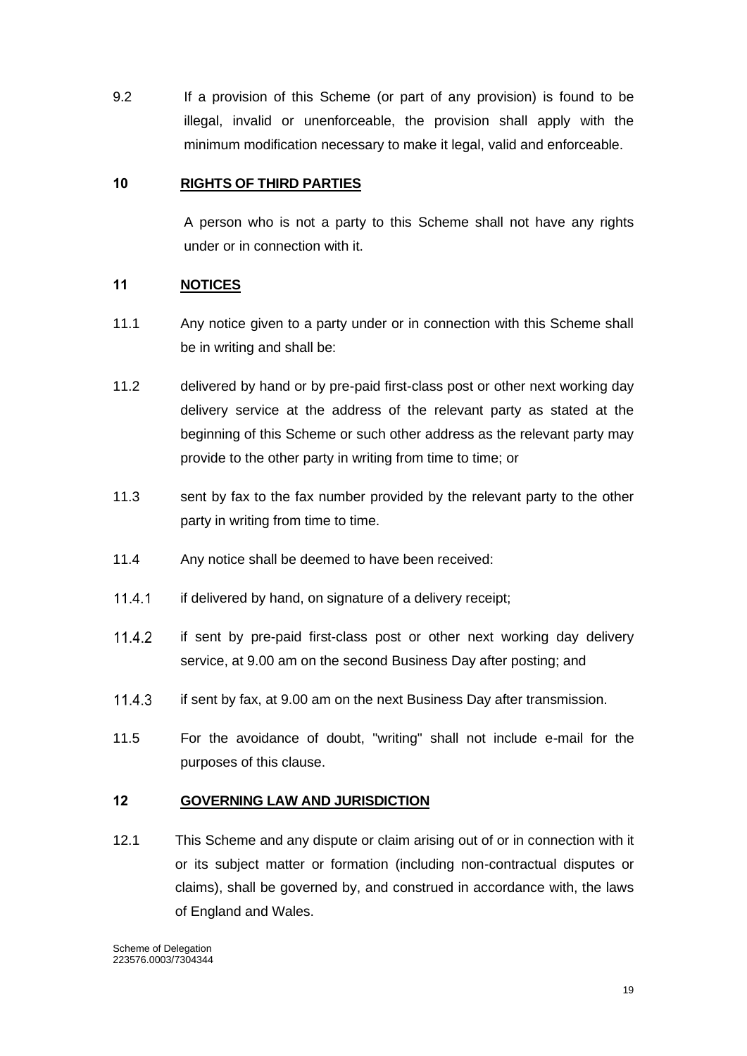9.2 If a provision of this Scheme (or part of any provision) is found to be illegal, invalid or unenforceable, the provision shall apply with the minimum modification necessary to make it legal, valid and enforceable.

### <span id="page-19-0"></span>**10 RIGHTS OF THIRD PARTIES**

A person who is not a party to this Scheme shall not have any rights under or in connection with it.

### <span id="page-19-1"></span>**11 NOTICES**

- 11.1 Any notice given to a party under or in connection with this Scheme shall be in writing and shall be:
- 11.2 delivered by hand or by pre-paid first-class post or other next working day delivery service at the address of the relevant party as stated at the beginning of this Scheme or such other address as the relevant party may provide to the other party in writing from time to time; or
- 11.3 sent by fax to the fax number provided by the relevant party to the other party in writing from time to time.
- 11.4 Any notice shall be deemed to have been received:
- $11.4.1$ if delivered by hand, on signature of a delivery receipt;
- $11.4.2$ if sent by pre-paid first-class post or other next working day delivery service, at 9.00 am on the second Business Day after posting; and
- 11.4.3 if sent by fax, at 9.00 am on the next Business Day after transmission.
- 11.5 For the avoidance of doubt, "writing" shall not include e-mail for the purposes of this clause.

#### <span id="page-19-2"></span>**12 GOVERNING LAW AND JURISDICTION**

12.1 This Scheme and any dispute or claim arising out of or in connection with it or its subject matter or formation (including non-contractual disputes or claims), shall be governed by, and construed in accordance with, the laws of England and Wales.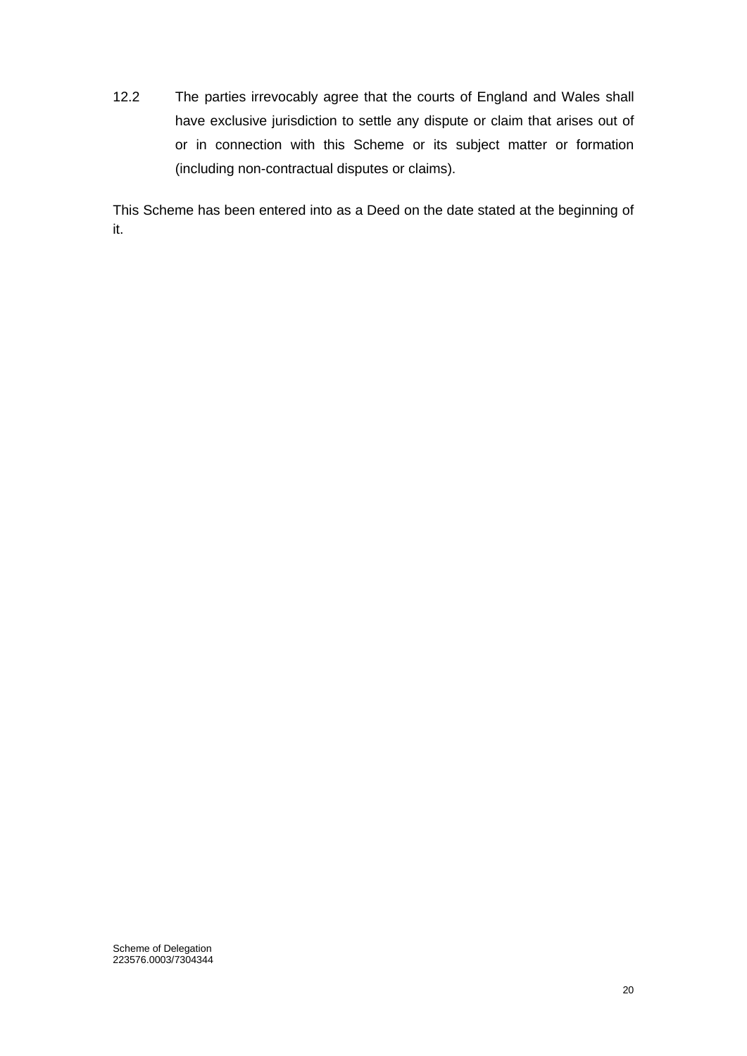12.2 The parties irrevocably agree that the courts of England and Wales shall have exclusive jurisdiction to settle any dispute or claim that arises out of or in connection with this Scheme or its subject matter or formation (including non-contractual disputes or claims).

This Scheme has been entered into as a Deed on the date stated at the beginning of it.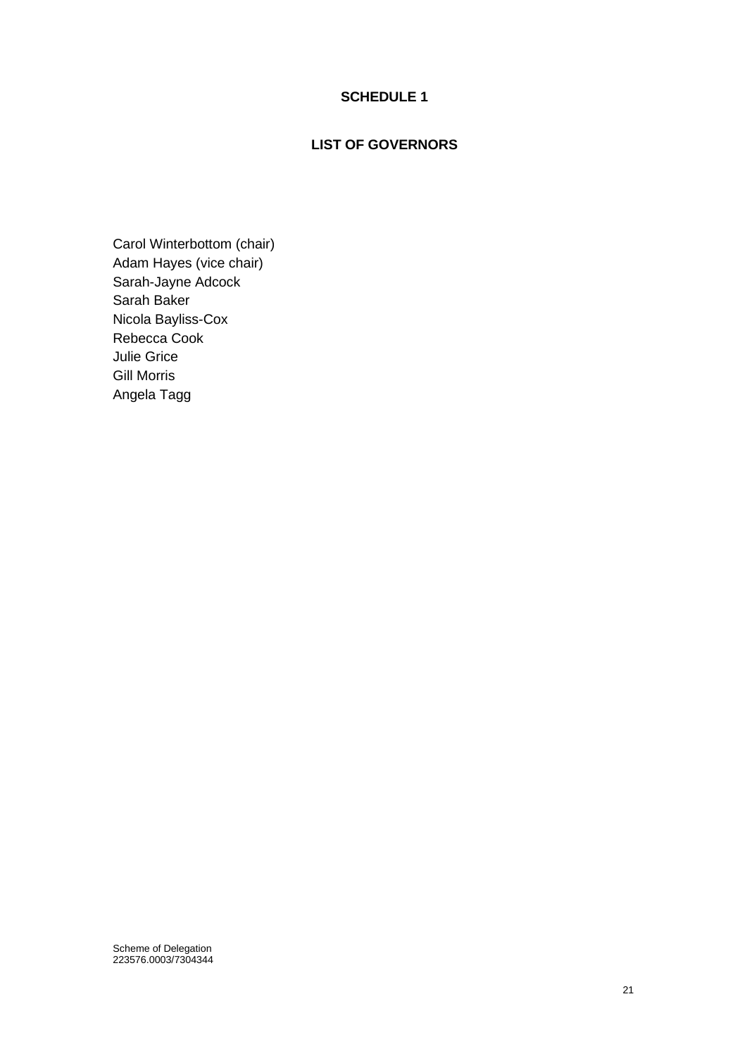### **SCHEDULE 1**

# **LIST OF GOVERNORS**

<span id="page-21-0"></span>Carol Winterbottom (chair) Adam Hayes (vice chair) Sarah-Jayne Adcock Sarah Baker Nicola Bayliss-Cox Rebecca Cook Julie Grice Gill Morris Angela Tagg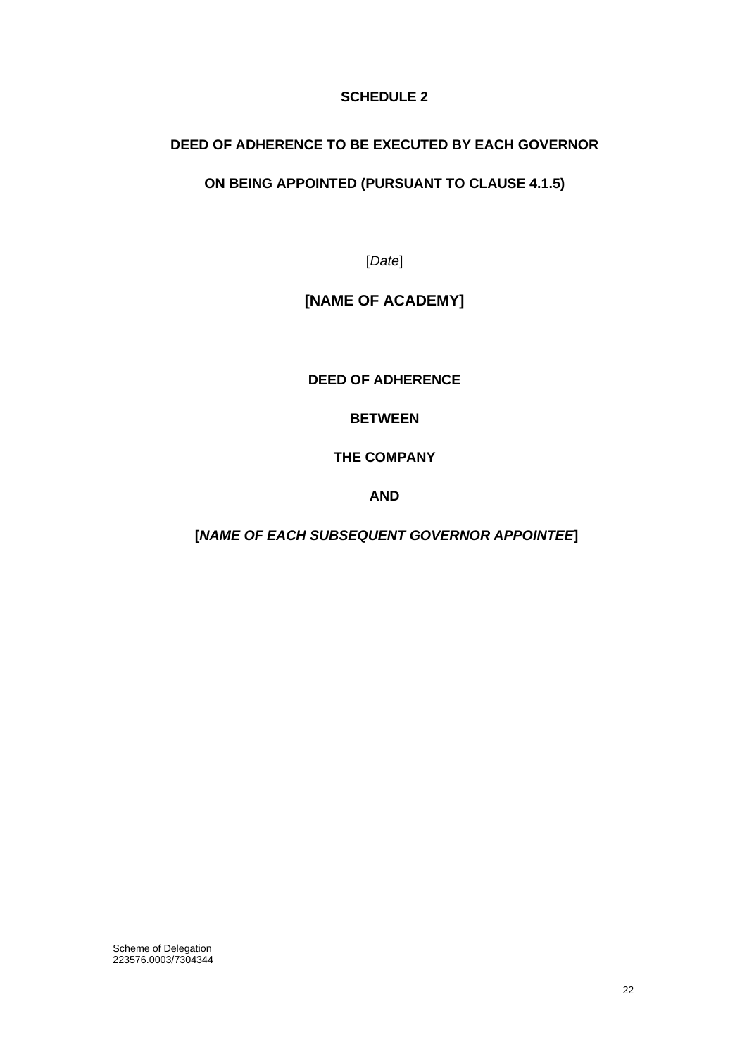# **SCHEDULE 2**

# <span id="page-22-0"></span>**DEED OF ADHERENCE TO BE EXECUTED BY EACH GOVERNOR**

# **ON BEING APPOINTED (PURSUANT TO CLAUSE 4.1.5)**

[*Date*]

# **[NAME OF ACADEMY]**

**DEED OF ADHERENCE**

**BETWEEN**

**THE COMPANY**

**AND** 

**[***NAME OF EACH SUBSEQUENT GOVERNOR APPOINTEE***]**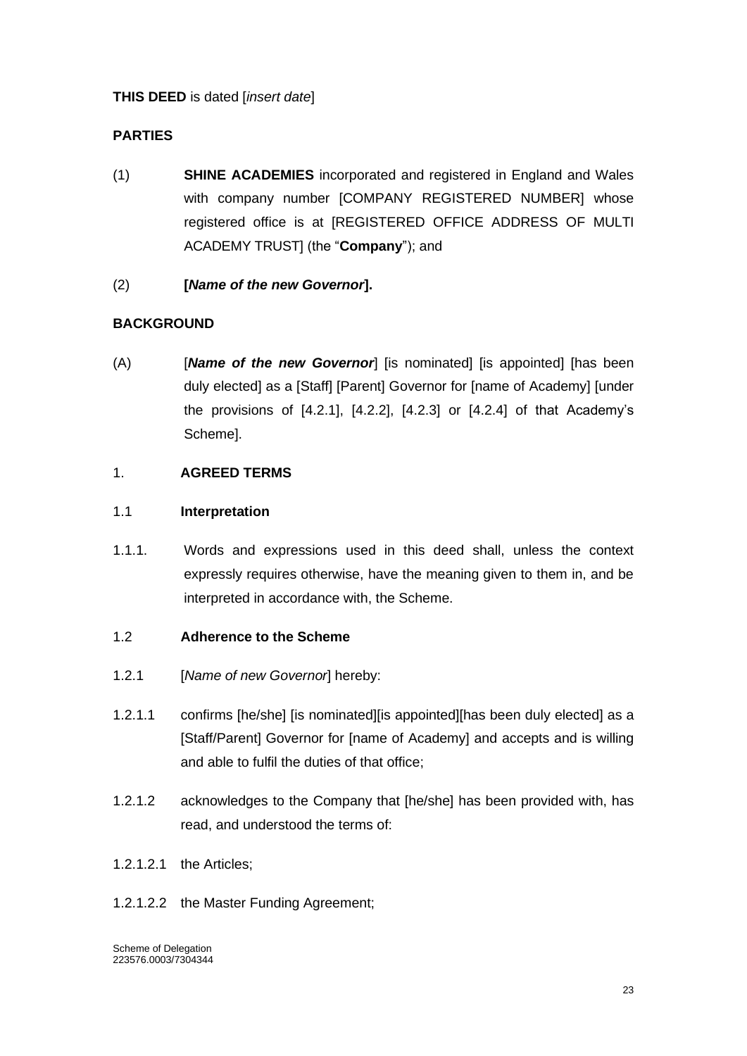# **THIS DEED** is dated [*insert date*]

# **PARTIES**

- (1) **SHINE ACADEMIES** incorporated and registered in England and Wales with company number [COMPANY REGISTERED NUMBER] whose registered office is at [REGISTERED OFFICE ADDRESS OF MULTI ACADEMY TRUST] (the "**Company**"); and
- (2) **[***Name of the new Governor***].**

# **BACKGROUND**

(A) [*Name of the new Governor*] [is nominated] [is appointed] [has been duly elected] as a [Staff] [Parent] Governor for [name of Academy] [under the provisions of [4.2.1], [4.2.2], [4.2.3] or [4.2.4] of that Academy's Scheme].

# 1. **AGREED TERMS**

### 1.1 **Interpretation**

1.1.1. Words and expressions used in this deed shall, unless the context expressly requires otherwise, have the meaning given to them in, and be interpreted in accordance with, the Scheme.

#### 1.2 **Adherence to the Scheme**

- 1.2.1 [*Name of new Governor*] hereby:
- 1.2.1.1 confirms [he/she] [is nominated][is appointed][has been duly elected] as a [Staff/Parent] Governor for [name of Academy] and accepts and is willing and able to fulfil the duties of that office;
- 1.2.1.2 acknowledges to the Company that [he/she] has been provided with, has read, and understood the terms of:
- 1.2.1.2.1 the Articles;
- 1.2.1.2.2 the Master Funding Agreement;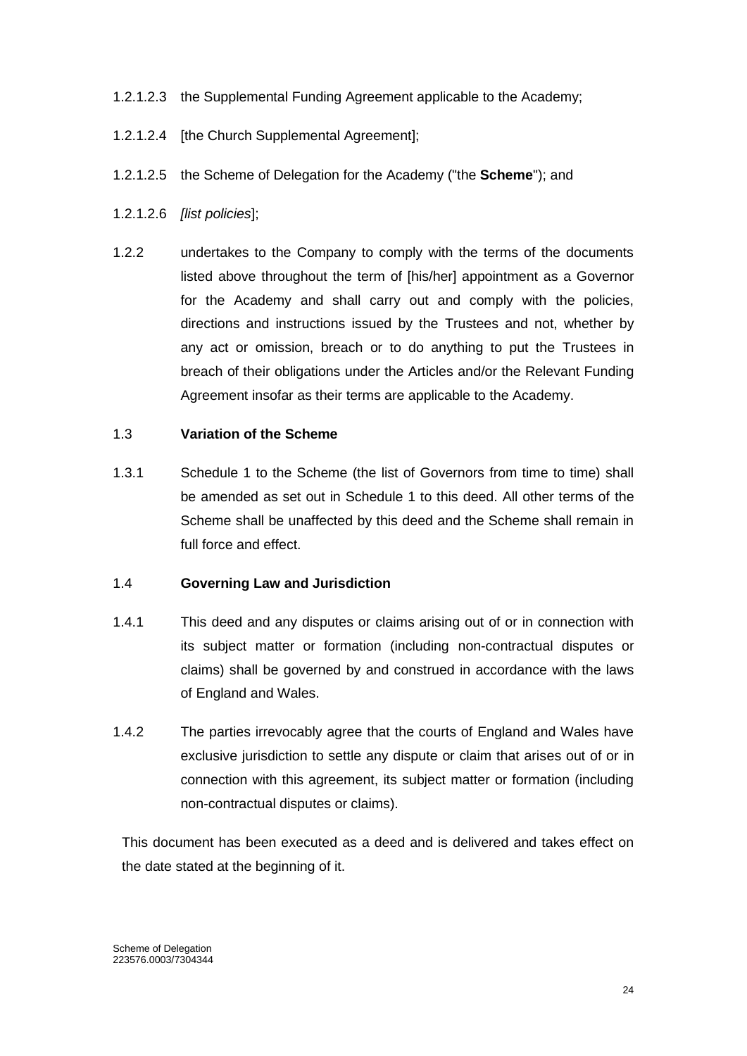### 1.2.1.2.3 the Supplemental Funding Agreement applicable to the Academy;

- 1.2.1.2.4 [the Church Supplemental Agreement];
- 1.2.1.2.5 the Scheme of Delegation for the Academy ("the **Scheme**"); and
- 1.2.1.2.6 *[list policies*];
- 1.2.2 undertakes to the Company to comply with the terms of the documents listed above throughout the term of [his/her] appointment as a Governor for the Academy and shall carry out and comply with the policies, directions and instructions issued by the Trustees and not, whether by any act or omission, breach or to do anything to put the Trustees in breach of their obligations under the Articles and/or the Relevant Funding Agreement insofar as their terms are applicable to the Academy.

#### 1.3 **Variation of the Scheme**

1.3.1 Schedule 1 to the Scheme (the list of Governors from time to time) shall be amended as set out in Schedule 1 to this deed. All other terms of the Scheme shall be unaffected by this deed and the Scheme shall remain in full force and effect.

#### 1.4 **Governing Law and Jurisdiction**

- 1.4.1 This deed and any disputes or claims arising out of or in connection with its subject matter or formation (including non-contractual disputes or claims) shall be governed by and construed in accordance with the laws of England and Wales.
- 1.4.2 The parties irrevocably agree that the courts of England and Wales have exclusive jurisdiction to settle any dispute or claim that arises out of or in connection with this agreement, its subject matter or formation (including non-contractual disputes or claims).

This document has been executed as a deed and is delivered and takes effect on the date stated at the beginning of it.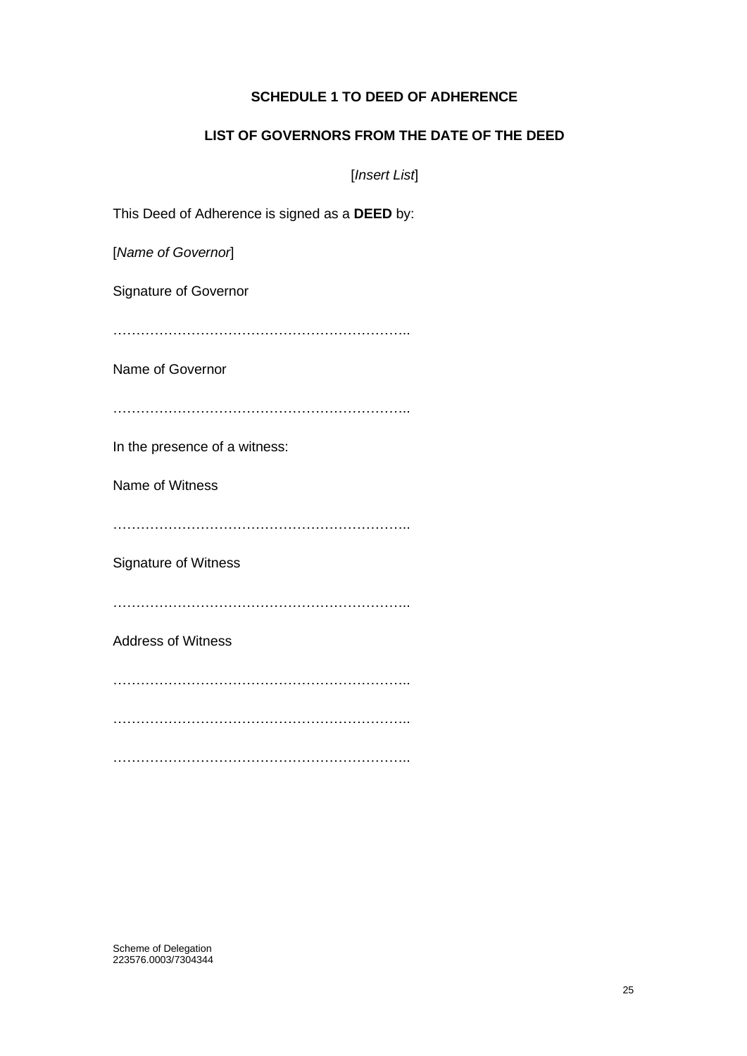## **SCHEDULE 1 TO DEED OF ADHERENCE**

### **LIST OF GOVERNORS FROM THE DATE OF THE DEED**

[*Insert List*]

This Deed of Adherence is signed as a **DEED** by:

[*Name of Governor*]

Signature of Governor

………………………………………………………..

Name of Governor

………………………………………………………..

In the presence of a witness:

Name of Witness

………………………………………………………..

Signature of Witness

………………………………………………………..

Address of Witness

………………………………………………………..

………………………………………………………..

………………………………………………………..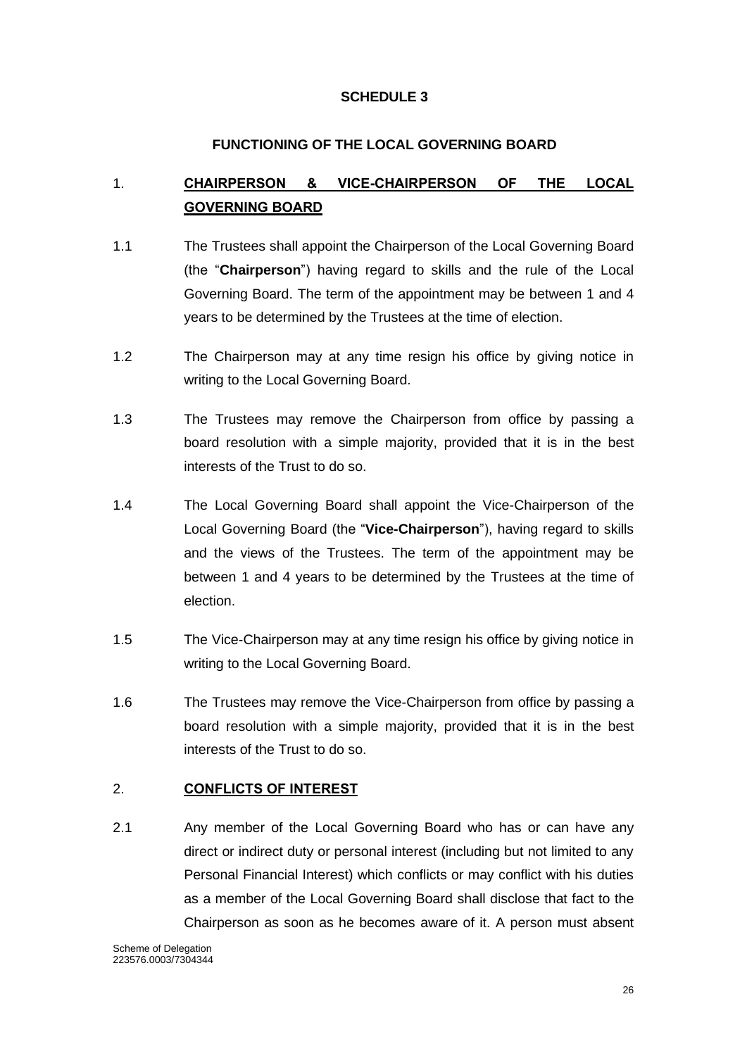# **SCHEDULE 3**

# **FUNCTIONING OF THE LOCAL GOVERNING BOARD**

# <span id="page-26-1"></span><span id="page-26-0"></span>1. **CHAIRPERSON & VICE-CHAIRPERSON OF THE LOCAL GOVERNING BOARD**

- 1.1 The Trustees shall appoint the Chairperson of the Local Governing Board (the "**Chairperson**") having regard to skills and the rule of the Local Governing Board. The term of the appointment may be between 1 and 4 years to be determined by the Trustees at the time of election.
- 1.2 The Chairperson may at any time resign his office by giving notice in writing to the Local Governing Board.
- 1.3 The Trustees may remove the Chairperson from office by passing a board resolution with a simple majority, provided that it is in the best interests of the Trust to do so.
- 1.4 The Local Governing Board shall appoint the Vice-Chairperson of the Local Governing Board (the "**Vice-Chairperson**"), having regard to skills and the views of the Trustees. The term of the appointment may be between 1 and 4 years to be determined by the Trustees at the time of election.
- 1.5 The Vice-Chairperson may at any time resign his office by giving notice in writing to the Local Governing Board.
- 1.6 The Trustees may remove the Vice-Chairperson from office by passing a board resolution with a simple majority, provided that it is in the best interests of the Trust to do so.

# <span id="page-26-2"></span>2. **CONFLICTS OF INTEREST**

2.1 Any member of the Local Governing Board who has or can have any direct or indirect duty or personal interest (including but not limited to any Personal Financial Interest) which conflicts or may conflict with his duties as a member of the Local Governing Board shall disclose that fact to the Chairperson as soon as he becomes aware of it. A person must absent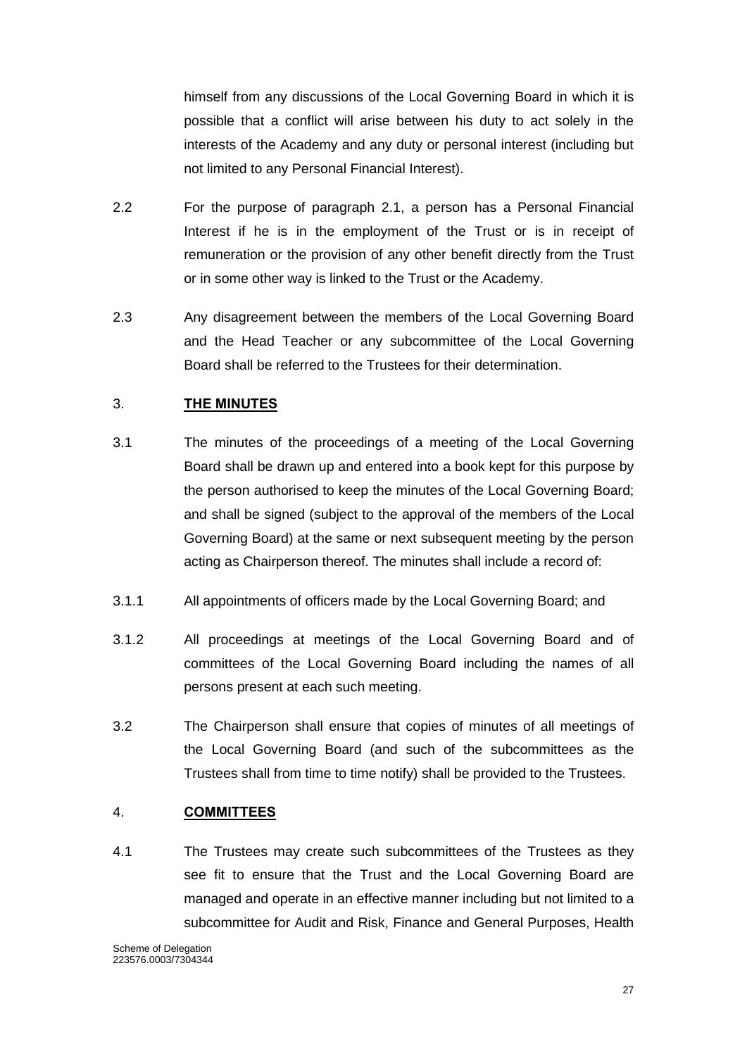himself from any discussions of the Local Governing Board in which it is possible that a conflict will arise between his duty to act solely in the interests of the Academy and any duty or personal interest (including but not limited to any Personal Financial Interest).

- 2.2 For the purpose of paragraph 2.1, a person has a Personal Financial Interest if he is in the employment of the Trust or is in receipt of remuneration or the provision of any other benefit directly from the Trust or in some other way is linked to the Trust or the Academy.
- 2.3 Any disagreement between the members of the Local Governing Board and the Head Teacher or any subcommittee of the Local Governing Board shall be referred to the Trustees for their determination.

# <span id="page-27-0"></span>3. **THE MINUTES**

- 3.1 The minutes of the proceedings of a meeting of the Local Governing Board shall be drawn up and entered into a book kept for this purpose by the person authorised to keep the minutes of the Local Governing Board; and shall be signed (subject to the approval of the members of the Local Governing Board) at the same or next subsequent meeting by the person acting as Chairperson thereof. The minutes shall include a record of:
- 3.1.1 All appointments of officers made by the Local Governing Board; and
- 3.1.2 All proceedings at meetings of the Local Governing Board and of committees of the Local Governing Board including the names of all persons present at each such meeting.
- 3.2 The Chairperson shall ensure that copies of minutes of all meetings of the Local Governing Board (and such of the subcommittees as the Trustees shall from time to time notify) shall be provided to the Trustees.

#### <span id="page-27-1"></span>4. **COMMITTEES**

4.1 The Trustees may create such subcommittees of the Trustees as they see fit to ensure that the Trust and the Local Governing Board are managed and operate in an effective manner including but not limited to a subcommittee for Audit and Risk, Finance and General Purposes, Health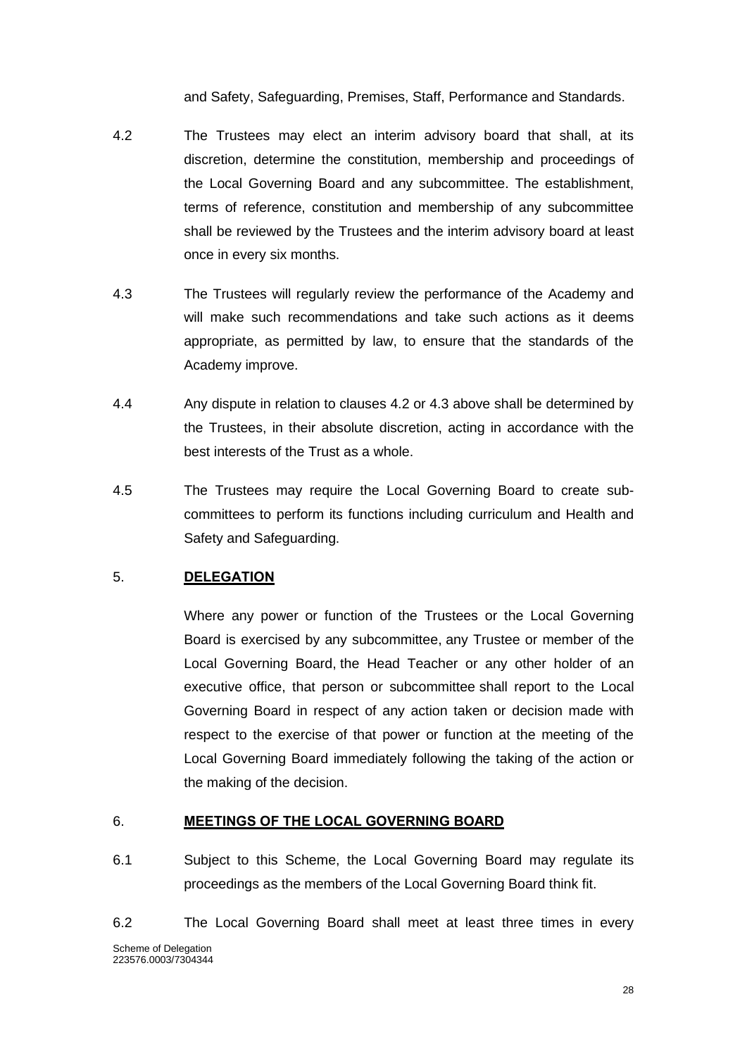and Safety, Safeguarding, Premises, Staff, Performance and Standards.

- 4.2 The Trustees may elect an interim advisory board that shall, at its discretion, determine the constitution, membership and proceedings of the Local Governing Board and any subcommittee. The establishment, terms of reference, constitution and membership of any subcommittee shall be reviewed by the Trustees and the interim advisory board at least once in every six months.
- 4.3 The Trustees will regularly review the performance of the Academy and will make such recommendations and take such actions as it deems appropriate, as permitted by law, to ensure that the standards of the Academy improve.
- 4.4 Any dispute in relation to clauses 4.2 or 4.3 above shall be determined by the Trustees, in their absolute discretion, acting in accordance with the best interests of the Trust as a whole.
- 4.5 The Trustees may require the Local Governing Board to create subcommittees to perform its functions including curriculum and Health and Safety and Safeguarding.

# <span id="page-28-0"></span>5. **DELEGATION**

Where any power or function of the Trustees or the Local Governing Board is exercised by any subcommittee, any Trustee or member of the Local Governing Board, the Head Teacher or any other holder of an executive office, that person or subcommittee shall report to the Local Governing Board in respect of any action taken or decision made with respect to the exercise of that power or function at the meeting of the Local Governing Board immediately following the taking of the action or the making of the decision.

#### <span id="page-28-1"></span>6. **MEETINGS OF THE LOCAL GOVERNING BOARD**

- 6.1 Subject to this Scheme, the Local Governing Board may regulate its proceedings as the members of the Local Governing Board think fit.
- Scheme of Delegation 223576.0003/7304344 6.2 The Local Governing Board shall meet at least three times in every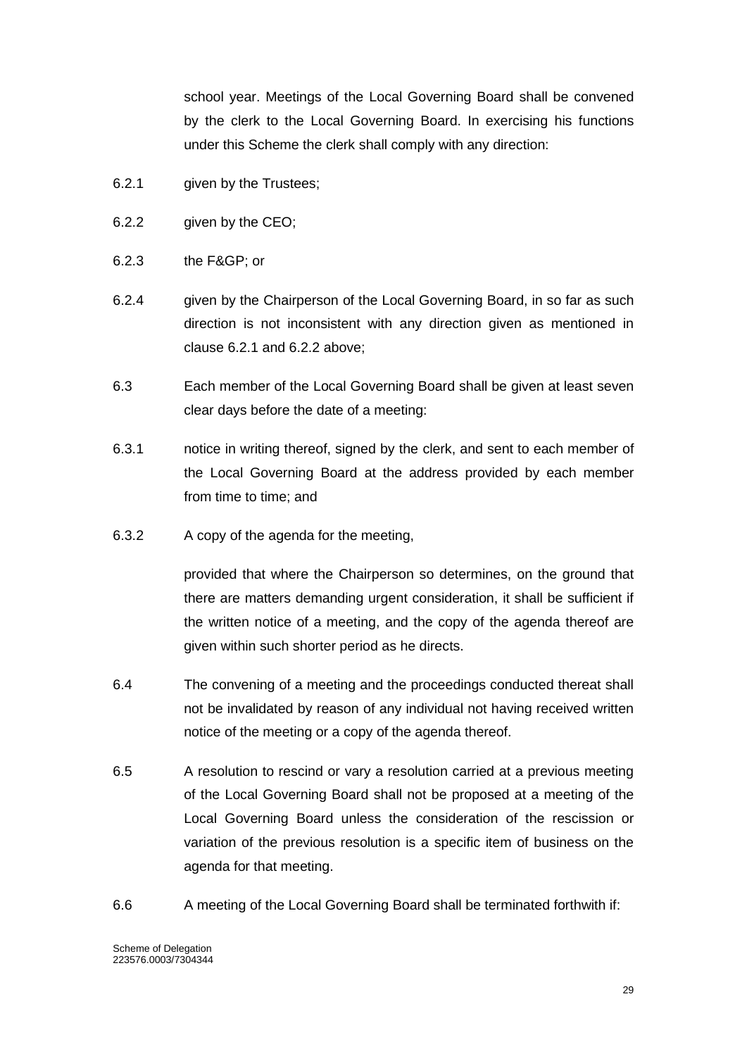school year. Meetings of the Local Governing Board shall be convened by the clerk to the Local Governing Board. In exercising his functions under this Scheme the clerk shall comply with any direction:

- 6.2.1 given by the Trustees;
- 6.2.2 given by the CEO;
- 6.2.3 the F&GP; or
- 6.2.4 given by the Chairperson of the Local Governing Board, in so far as such direction is not inconsistent with any direction given as mentioned in clause 6.2.1 and 6.2.2 above;
- 6.3 Each member of the Local Governing Board shall be given at least seven clear days before the date of a meeting:
- 6.3.1 notice in writing thereof, signed by the clerk, and sent to each member of the Local Governing Board at the address provided by each member from time to time; and
- 6.3.2 A copy of the agenda for the meeting,

provided that where the Chairperson so determines, on the ground that there are matters demanding urgent consideration, it shall be sufficient if the written notice of a meeting, and the copy of the agenda thereof are given within such shorter period as he directs.

- 6.4 The convening of a meeting and the proceedings conducted thereat shall not be invalidated by reason of any individual not having received written notice of the meeting or a copy of the agenda thereof.
- 6.5 A resolution to rescind or vary a resolution carried at a previous meeting of the Local Governing Board shall not be proposed at a meeting of the Local Governing Board unless the consideration of the rescission or variation of the previous resolution is a specific item of business on the agenda for that meeting.
- 6.6 A meeting of the Local Governing Board shall be terminated forthwith if: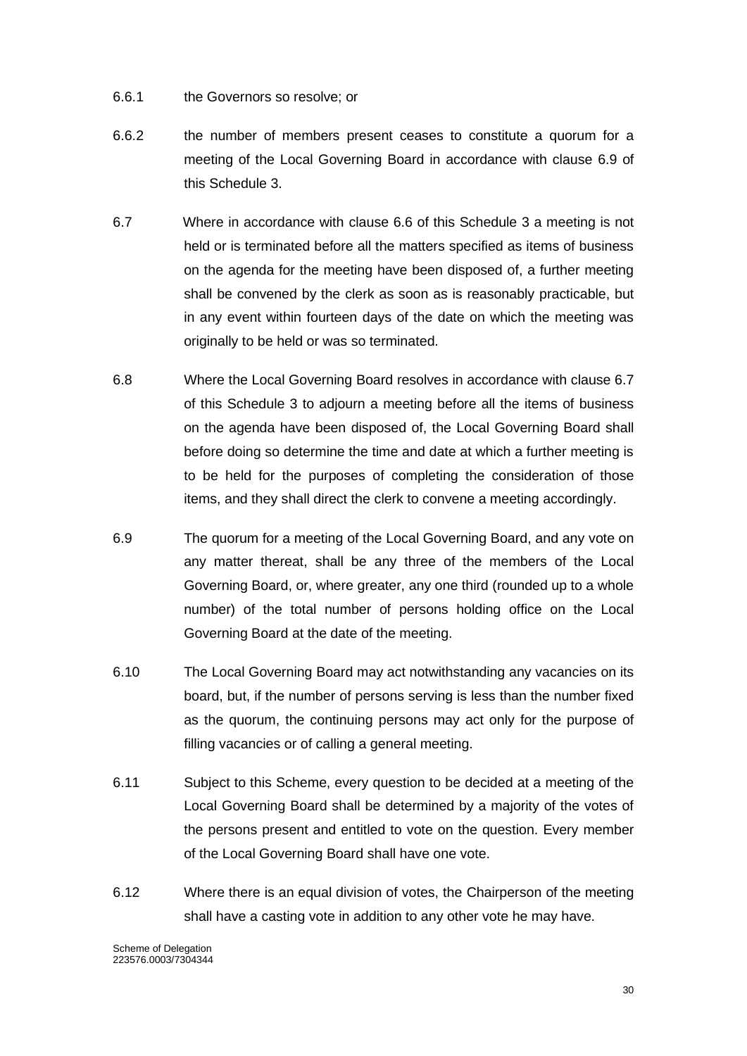- 6.6.1 the Governors so resolve; or
- 6.6.2 the number of members present ceases to constitute a quorum for a meeting of the Local Governing Board in accordance with clause 6.9 of this Schedule 3.
- 6.7 Where in accordance with clause 6.6 of this Schedule 3 a meeting is not held or is terminated before all the matters specified as items of business on the agenda for the meeting have been disposed of, a further meeting shall be convened by the clerk as soon as is reasonably practicable, but in any event within fourteen days of the date on which the meeting was originally to be held or was so terminated.
- 6.8 Where the Local Governing Board resolves in accordance with clause 6.7 of this Schedule 3 to adjourn a meeting before all the items of business on the agenda have been disposed of, the Local Governing Board shall before doing so determine the time and date at which a further meeting is to be held for the purposes of completing the consideration of those items, and they shall direct the clerk to convene a meeting accordingly.
- 6.9 The quorum for a meeting of the Local Governing Board, and any vote on any matter thereat, shall be any three of the members of the Local Governing Board, or, where greater, any one third (rounded up to a whole number) of the total number of persons holding office on the Local Governing Board at the date of the meeting.
- 6.10 The Local Governing Board may act notwithstanding any vacancies on its board, but, if the number of persons serving is less than the number fixed as the quorum, the continuing persons may act only for the purpose of filling vacancies or of calling a general meeting.
- 6.11 Subject to this Scheme, every question to be decided at a meeting of the Local Governing Board shall be determined by a majority of the votes of the persons present and entitled to vote on the question. Every member of the Local Governing Board shall have one vote.
- 6.12 Where there is an equal division of votes, the Chairperson of the meeting shall have a casting vote in addition to any other vote he may have.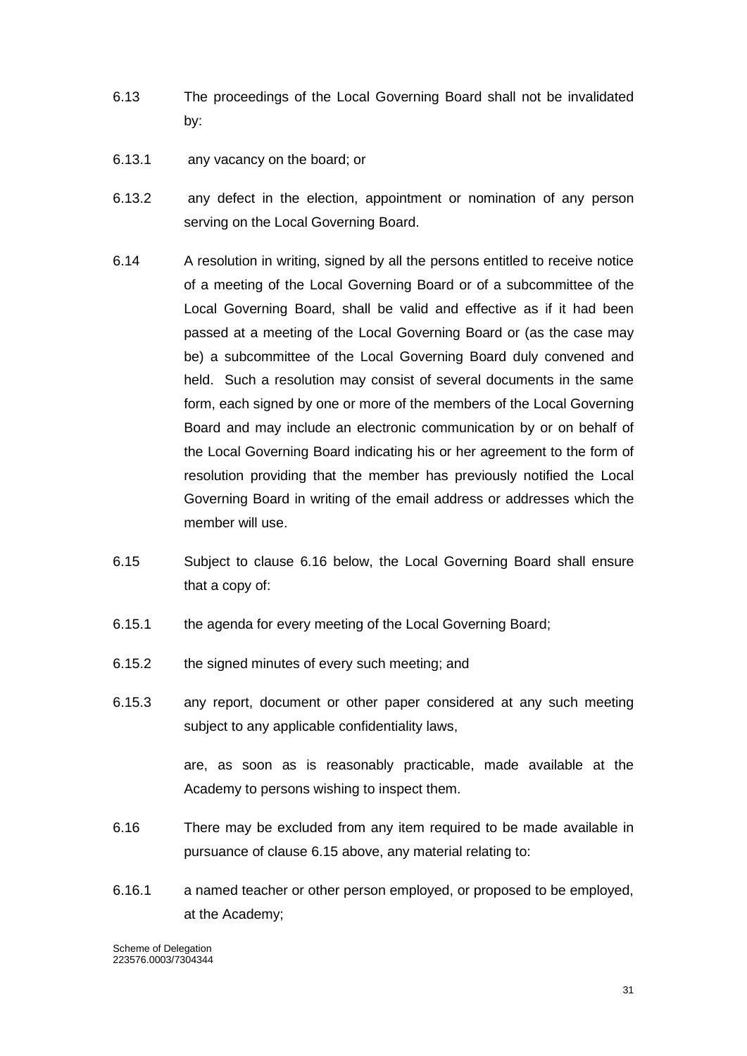- 6.13 The proceedings of the Local Governing Board shall not be invalidated by:
- 6.13.1 any vacancy on the board; or
- 6.13.2 any defect in the election, appointment or nomination of any person serving on the Local Governing Board.
- 6.14 A resolution in writing, signed by all the persons entitled to receive notice of a meeting of the Local Governing Board or of a subcommittee of the Local Governing Board, shall be valid and effective as if it had been passed at a meeting of the Local Governing Board or (as the case may be) a subcommittee of the Local Governing Board duly convened and held. Such a resolution may consist of several documents in the same form, each signed by one or more of the members of the Local Governing Board and may include an electronic communication by or on behalf of the Local Governing Board indicating his or her agreement to the form of resolution providing that the member has previously notified the Local Governing Board in writing of the email address or addresses which the member will use.
- 6.15 Subject to clause 6.16 below, the Local Governing Board shall ensure that a copy of:
- 6.15.1 the agenda for every meeting of the Local Governing Board;
- 6.15.2 the signed minutes of every such meeting; and
- 6.15.3 any report, document or other paper considered at any such meeting subject to any applicable confidentiality laws,

are, as soon as is reasonably practicable, made available at the Academy to persons wishing to inspect them.

- 6.16 There may be excluded from any item required to be made available in pursuance of clause 6.15 above, any material relating to:
- 6.16.1 a named teacher or other person employed, or proposed to be employed, at the Academy;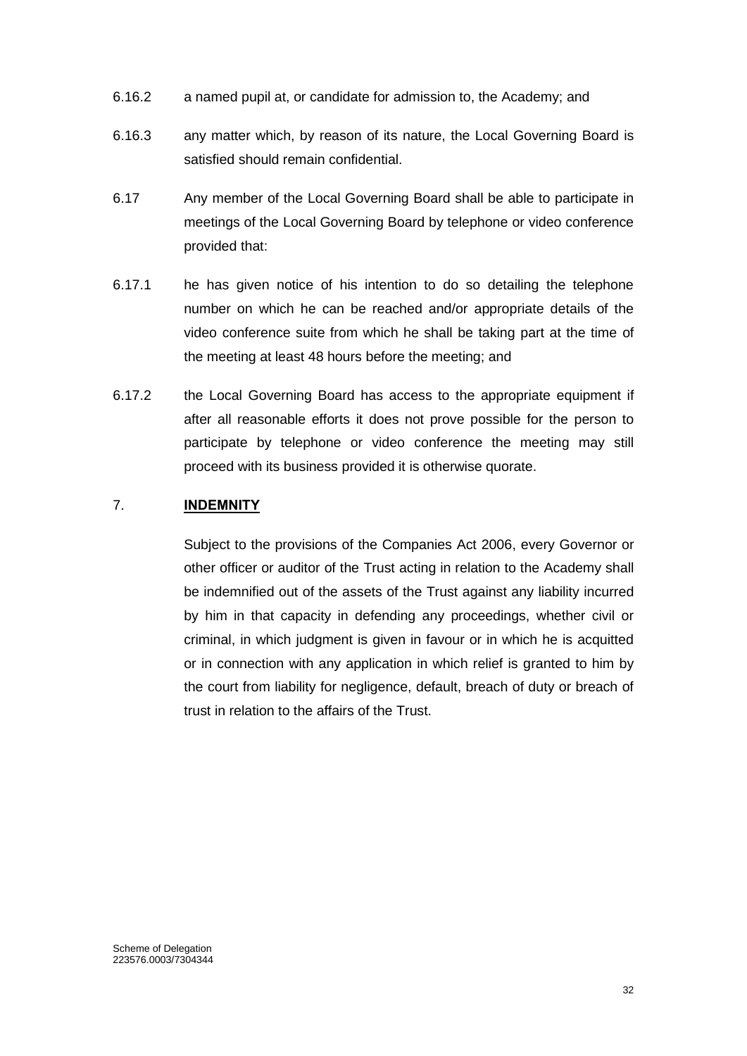- 6.16.2 a named pupil at, or candidate for admission to, the Academy; and
- 6.16.3 any matter which, by reason of its nature, the Local Governing Board is satisfied should remain confidential.
- 6.17 Any member of the Local Governing Board shall be able to participate in meetings of the Local Governing Board by telephone or video conference provided that:
- 6.17.1 he has given notice of his intention to do so detailing the telephone number on which he can be reached and/or appropriate details of the video conference suite from which he shall be taking part at the time of the meeting at least 48 hours before the meeting; and
- 6.17.2 the Local Governing Board has access to the appropriate equipment if after all reasonable efforts it does not prove possible for the person to participate by telephone or video conference the meeting may still proceed with its business provided it is otherwise quorate.

### <span id="page-32-0"></span>7. **INDEMNITY**

Subject to the provisions of the Companies Act 2006, every Governor or other officer or auditor of the Trust acting in relation to the Academy shall be indemnified out of the assets of the Trust against any liability incurred by him in that capacity in defending any proceedings, whether civil or criminal, in which judgment is given in favour or in which he is acquitted or in connection with any application in which relief is granted to him by the court from liability for negligence, default, breach of duty or breach of trust in relation to the affairs of the Trust.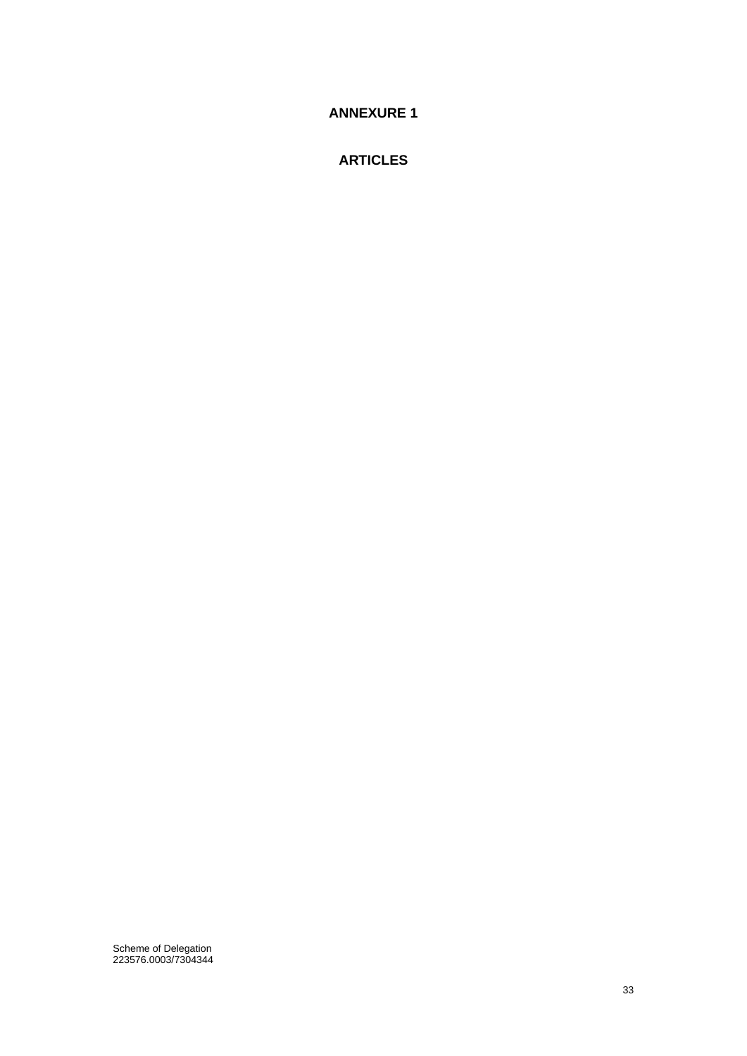<span id="page-33-0"></span>**ANNEXURE 1**

**ARTICLES**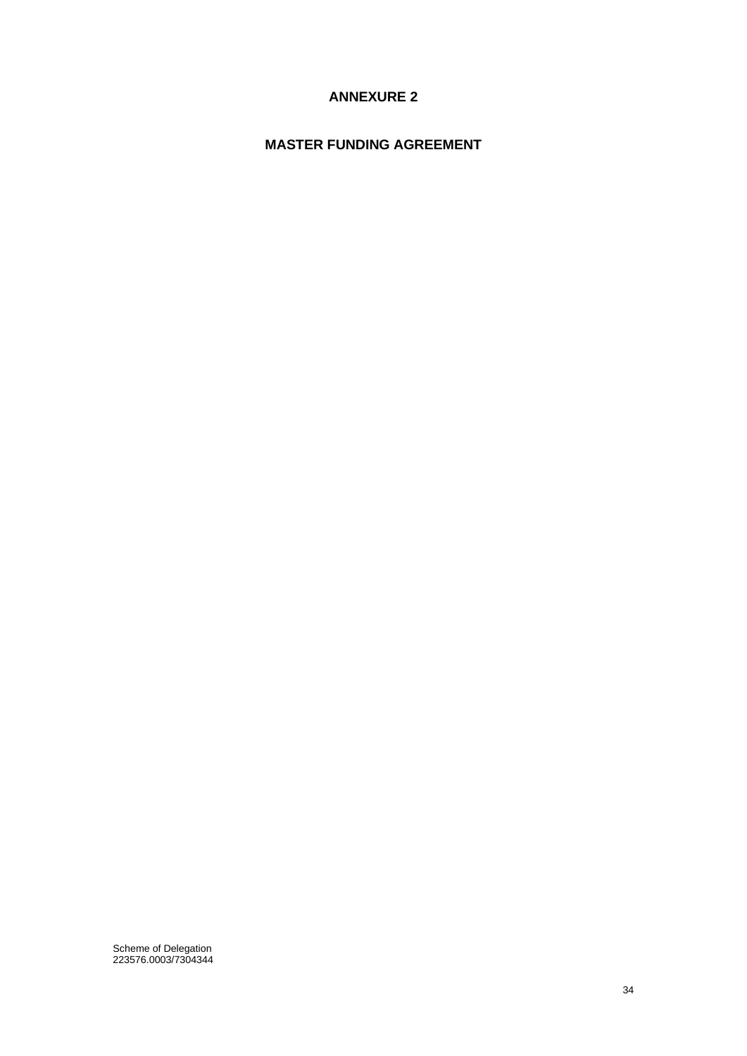# **ANNEXURE 2**

# <span id="page-34-0"></span>**MASTER FUNDING AGREEMENT**